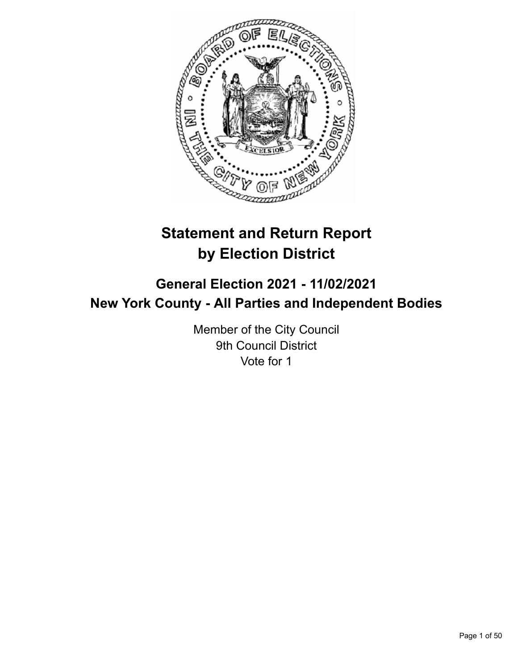

# **Statement and Return Report by Election District**

# **General Election 2021 - 11/02/2021 New York County - All Parties and Independent Bodies**

Member of the City Council 9th Council District Vote for 1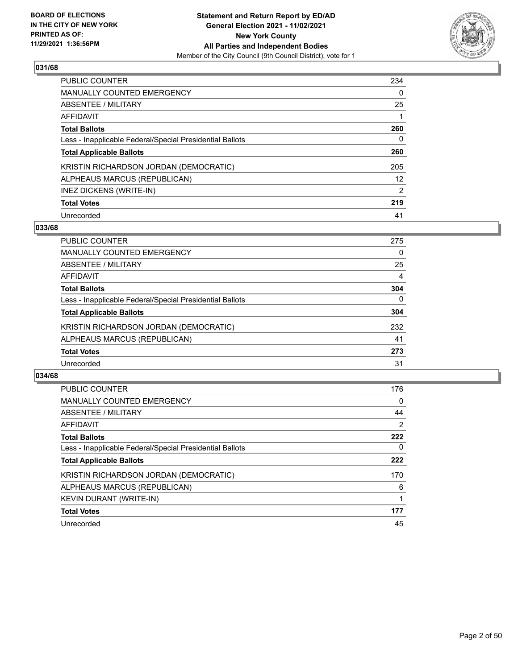

| <b>PUBLIC COUNTER</b>                                    | 234           |
|----------------------------------------------------------|---------------|
| <b>MANUALLY COUNTED EMERGENCY</b>                        | $\Omega$      |
| ABSENTEE / MILITARY                                      | 25            |
| AFFIDAVIT                                                |               |
| <b>Total Ballots</b>                                     | 260           |
| Less - Inapplicable Federal/Special Presidential Ballots | 0             |
| <b>Total Applicable Ballots</b>                          | 260           |
| KRISTIN RICHARDSON JORDAN (DEMOCRATIC)                   | 205           |
| ALPHEAUS MARCUS (REPUBLICAN)                             | 12            |
| INEZ DICKENS (WRITE-IN)                                  | $\mathcal{P}$ |
| <b>Total Votes</b>                                       | 219           |
| Unrecorded                                               | 41            |

#### **033/68**

| <b>PUBLIC COUNTER</b>                                    | 275      |
|----------------------------------------------------------|----------|
| MANUALLY COUNTED EMERGENCY                               | $\Omega$ |
| ABSENTEE / MILITARY                                      | 25       |
| <b>AFFIDAVIT</b>                                         | 4        |
| <b>Total Ballots</b>                                     | 304      |
| Less - Inapplicable Federal/Special Presidential Ballots | $\Omega$ |
| <b>Total Applicable Ballots</b>                          | 304      |
| KRISTIN RICHARDSON JORDAN (DEMOCRATIC)                   | 232      |
| ALPHEAUS MARCUS (REPUBLICAN)                             | 41       |
| <b>Total Votes</b>                                       | 273      |
| Unrecorded                                               | 31       |

| <b>PUBLIC COUNTER</b>                                    | 176            |
|----------------------------------------------------------|----------------|
| <b>MANUALLY COUNTED EMERGENCY</b>                        | 0              |
| ABSENTEE / MILITARY                                      | 44             |
| AFFIDAVIT                                                | $\overline{2}$ |
| <b>Total Ballots</b>                                     | 222            |
| Less - Inapplicable Federal/Special Presidential Ballots | $\Omega$       |
| <b>Total Applicable Ballots</b>                          | 222            |
| KRISTIN RICHARDSON JORDAN (DEMOCRATIC)                   | 170            |
| ALPHEAUS MARCUS (REPUBLICAN)                             | 6              |
| <b>KEVIN DURANT (WRITE-IN)</b>                           |                |
| <b>Total Votes</b>                                       | 177            |
| Unrecorded                                               | 45             |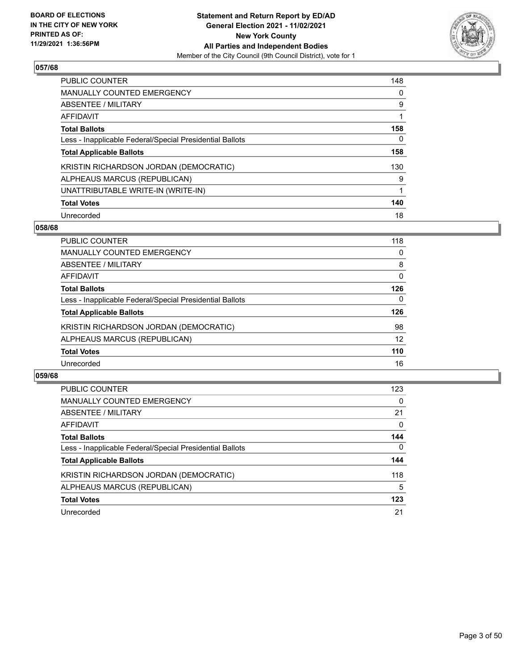

| <b>PUBLIC COUNTER</b>                                    | 148 |
|----------------------------------------------------------|-----|
| <b>MANUALLY COUNTED EMERGENCY</b>                        | 0   |
| ABSENTEE / MILITARY                                      | 9   |
| AFFIDAVIT                                                |     |
| <b>Total Ballots</b>                                     | 158 |
| Less - Inapplicable Federal/Special Presidential Ballots | 0   |
| <b>Total Applicable Ballots</b>                          | 158 |
| KRISTIN RICHARDSON JORDAN (DEMOCRATIC)                   | 130 |
| ALPHEAUS MARCUS (REPUBLICAN)                             | 9   |
| UNATTRIBUTABLE WRITE-IN (WRITE-IN)                       |     |
| <b>Total Votes</b>                                       | 140 |
| Unrecorded                                               | 18  |

#### **058/68**

| <b>PUBLIC COUNTER</b>                                    | 118          |
|----------------------------------------------------------|--------------|
| MANUALLY COUNTED EMERGENCY                               | 0            |
| ABSENTEE / MILITARY                                      | 8            |
| AFFIDAVIT                                                | 0            |
| <b>Total Ballots</b>                                     | 126          |
| Less - Inapplicable Federal/Special Presidential Ballots | $\mathbf{0}$ |
| <b>Total Applicable Ballots</b>                          | 126          |
| KRISTIN RICHARDSON JORDAN (DEMOCRATIC)                   | 98           |
| ALPHEAUS MARCUS (REPUBLICAN)                             | 12           |
| <b>Total Votes</b>                                       | 110          |
| Unrecorded                                               | 16           |

| <b>PUBLIC COUNTER</b>                                    | 123          |
|----------------------------------------------------------|--------------|
| MANUALLY COUNTED EMERGENCY                               | $\Omega$     |
| ABSENTEE / MILITARY                                      | 21           |
| AFFIDAVIT                                                | $\Omega$     |
| <b>Total Ballots</b>                                     | 144          |
| Less - Inapplicable Federal/Special Presidential Ballots | $\mathbf{0}$ |
| <b>Total Applicable Ballots</b>                          | 144          |
| KRISTIN RICHARDSON JORDAN (DEMOCRATIC)                   | 118          |
| ALPHEAUS MARCUS (REPUBLICAN)                             | 5            |
| <b>Total Votes</b>                                       | 123          |
| Unrecorded                                               | 21           |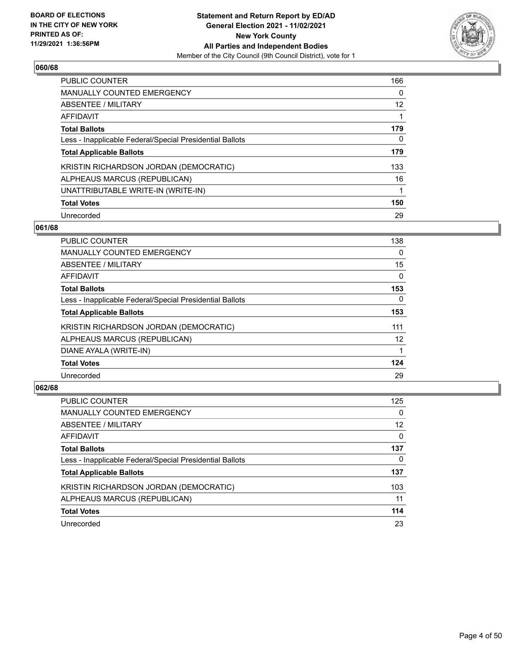

| <b>PUBLIC COUNTER</b>                                    | 166      |
|----------------------------------------------------------|----------|
| <b>MANUALLY COUNTED EMERGENCY</b>                        | $\Omega$ |
| ABSENTEE / MILITARY                                      | 12       |
| AFFIDAVIT                                                |          |
| <b>Total Ballots</b>                                     | 179      |
| Less - Inapplicable Federal/Special Presidential Ballots | 0        |
| <b>Total Applicable Ballots</b>                          | 179      |
| KRISTIN RICHARDSON JORDAN (DEMOCRATIC)                   | 133      |
| ALPHEAUS MARCUS (REPUBLICAN)                             | 16       |
| UNATTRIBUTABLE WRITE-IN (WRITE-IN)                       |          |
| <b>Total Votes</b>                                       | 150      |
| Unrecorded                                               | 29       |

#### **061/68**

| <b>PUBLIC COUNTER</b>                                    | 138      |
|----------------------------------------------------------|----------|
| MANUALLY COUNTED EMERGENCY                               | $\Omega$ |
| ABSENTEE / MILITARY                                      | 15       |
| <b>AFFIDAVIT</b>                                         | $\Omega$ |
| <b>Total Ballots</b>                                     | 153      |
| Less - Inapplicable Federal/Special Presidential Ballots | $\Omega$ |
| <b>Total Applicable Ballots</b>                          | 153      |
| KRISTIN RICHARDSON JORDAN (DEMOCRATIC)                   | 111      |
| ALPHEAUS MARCUS (REPUBLICAN)                             | 12       |
| DIANE AYALA (WRITE-IN)                                   |          |
| <b>Total Votes</b>                                       | 124      |
| Unrecorded                                               | 29       |

| PUBLIC COUNTER                                           | 125      |
|----------------------------------------------------------|----------|
| <b>MANUALLY COUNTED EMERGENCY</b>                        | $\Omega$ |
| ABSENTEE / MILITARY                                      | 12       |
| AFFIDAVIT                                                | $\Omega$ |
| <b>Total Ballots</b>                                     | 137      |
| Less - Inapplicable Federal/Special Presidential Ballots | 0        |
| <b>Total Applicable Ballots</b>                          | 137      |
| KRISTIN RICHARDSON JORDAN (DEMOCRATIC)                   | 103      |
| ALPHEAUS MARCUS (REPUBLICAN)                             | 11       |
| <b>Total Votes</b>                                       | 114      |
| Unrecorded                                               | 23       |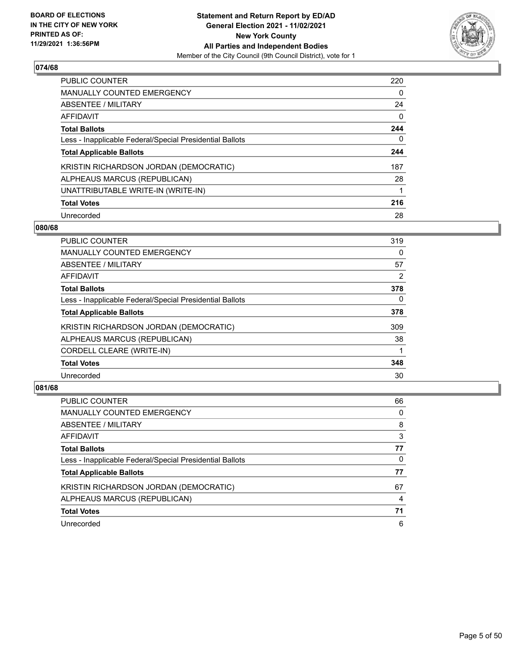

| PUBLIC COUNTER                                           | 220 |
|----------------------------------------------------------|-----|
| <b>MANUALLY COUNTED EMERGENCY</b>                        | 0   |
| ABSENTEE / MILITARY                                      | 24  |
| AFFIDAVIT                                                | 0   |
| <b>Total Ballots</b>                                     | 244 |
| Less - Inapplicable Federal/Special Presidential Ballots | 0   |
| <b>Total Applicable Ballots</b>                          | 244 |
| KRISTIN RICHARDSON JORDAN (DEMOCRATIC)                   | 187 |
| ALPHEAUS MARCUS (REPUBLICAN)                             | 28  |
| UNATTRIBUTABLE WRITE-IN (WRITE-IN)                       |     |
| <b>Total Votes</b>                                       | 216 |
| Unrecorded                                               | 28  |

#### **080/68**

| <b>PUBLIC COUNTER</b>                                    | 319      |
|----------------------------------------------------------|----------|
| <b>MANUALLY COUNTED EMERGENCY</b>                        | 0        |
| ABSENTEE / MILITARY                                      | 57       |
| <b>AFFIDAVIT</b>                                         | 2        |
| <b>Total Ballots</b>                                     | 378      |
| Less - Inapplicable Federal/Special Presidential Ballots | $\Omega$ |
| <b>Total Applicable Ballots</b>                          | 378      |
| KRISTIN RICHARDSON JORDAN (DEMOCRATIC)                   | 309      |
| ALPHEAUS MARCUS (REPUBLICAN)                             | 38       |
| <b>CORDELL CLEARE (WRITE-IN)</b>                         |          |
| <b>Total Votes</b>                                       | 348      |
| Unrecorded                                               | 30       |

| <b>PUBLIC COUNTER</b>                                    | 66 |
|----------------------------------------------------------|----|
| <b>MANUALLY COUNTED EMERGENCY</b>                        | 0  |
| ABSENTEE / MILITARY                                      | 8  |
| AFFIDAVIT                                                | 3  |
| <b>Total Ballots</b>                                     | 77 |
| Less - Inapplicable Federal/Special Presidential Ballots | 0  |
| <b>Total Applicable Ballots</b>                          | 77 |
| KRISTIN RICHARDSON JORDAN (DEMOCRATIC)                   | 67 |
| ALPHEAUS MARCUS (REPUBLICAN)                             | 4  |
| <b>Total Votes</b>                                       | 71 |
| Unrecorded                                               | 6  |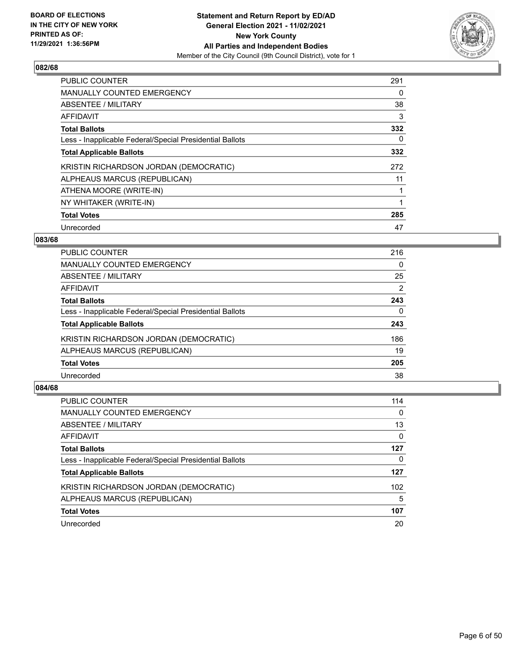

| <b>PUBLIC COUNTER</b>                                    | 291 |
|----------------------------------------------------------|-----|
| <b>MANUALLY COUNTED EMERGENCY</b>                        | 0   |
| ABSENTEE / MILITARY                                      | 38  |
| <b>AFFIDAVIT</b>                                         | 3   |
| <b>Total Ballots</b>                                     | 332 |
| Less - Inapplicable Federal/Special Presidential Ballots | 0   |
| <b>Total Applicable Ballots</b>                          | 332 |
| KRISTIN RICHARDSON JORDAN (DEMOCRATIC)                   | 272 |
| ALPHEAUS MARCUS (REPUBLICAN)                             | 11  |
| ATHENA MOORE (WRITE-IN)                                  |     |
| NY WHITAKER (WRITE-IN)                                   |     |
| <b>Total Votes</b>                                       | 285 |
| Unrecorded                                               | 47  |

# **083/68**

| PUBLIC COUNTER                                           | 216 |
|----------------------------------------------------------|-----|
| <b>MANUALLY COUNTED EMERGENCY</b>                        | 0   |
| ABSENTEE / MILITARY                                      | 25  |
| <b>AFFIDAVIT</b>                                         | 2   |
| <b>Total Ballots</b>                                     | 243 |
| Less - Inapplicable Federal/Special Presidential Ballots | 0   |
| <b>Total Applicable Ballots</b>                          | 243 |
| KRISTIN RICHARDSON JORDAN (DEMOCRATIC)                   | 186 |
| ALPHEAUS MARCUS (REPUBLICAN)                             | 19  |
| <b>Total Votes</b>                                       | 205 |
| Unrecorded                                               | 38  |
|                                                          |     |

| <b>PUBLIC COUNTER</b>                                    | 114 |
|----------------------------------------------------------|-----|
| <b>MANUALLY COUNTED EMERGENCY</b>                        | 0   |
| ABSENTEE / MILITARY                                      | 13  |
| AFFIDAVIT                                                | 0   |
| <b>Total Ballots</b>                                     | 127 |
| Less - Inapplicable Federal/Special Presidential Ballots | 0   |
| <b>Total Applicable Ballots</b>                          | 127 |
| KRISTIN RICHARDSON JORDAN (DEMOCRATIC)                   | 102 |
| ALPHEAUS MARCUS (REPUBLICAN)                             | 5   |
| <b>Total Votes</b>                                       | 107 |
| Unrecorded                                               | 20  |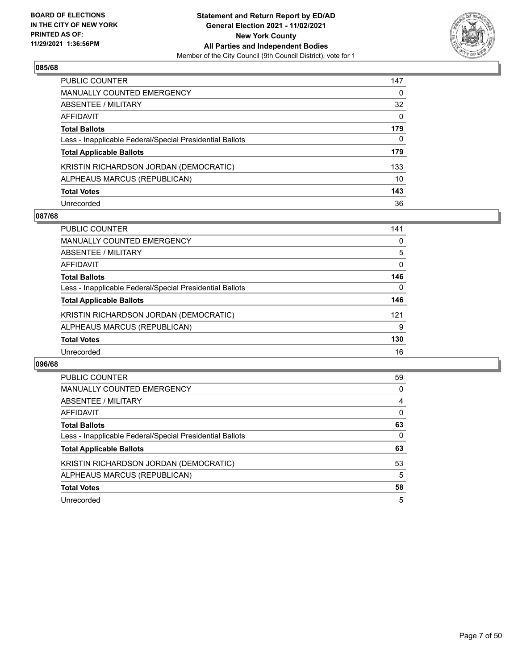

| <b>PUBLIC COUNTER</b>                                    | 147      |
|----------------------------------------------------------|----------|
| <b>MANUALLY COUNTED EMERGENCY</b>                        | 0        |
| <b>ABSENTEE / MILITARY</b>                               | 32       |
| AFFIDAVIT                                                | $\Omega$ |
| <b>Total Ballots</b>                                     | 179      |
| Less - Inapplicable Federal/Special Presidential Ballots | 0        |
| <b>Total Applicable Ballots</b>                          | 179      |
| KRISTIN RICHARDSON JORDAN (DEMOCRATIC)                   | 133      |
| ALPHEAUS MARCUS (REPUBLICAN)                             | 10       |
| <b>Total Votes</b>                                       | 143      |
| Unrecorded                                               | 36       |

## **087/68**

| <b>PUBLIC COUNTER</b>                                    | 141      |
|----------------------------------------------------------|----------|
| MANUALLY COUNTED EMERGENCY                               | 0        |
| ABSENTEE / MILITARY                                      | 5        |
| AFFIDAVIT                                                | $\Omega$ |
| <b>Total Ballots</b>                                     | 146      |
| Less - Inapplicable Federal/Special Presidential Ballots | $\Omega$ |
| <b>Total Applicable Ballots</b>                          | 146      |
| KRISTIN RICHARDSON JORDAN (DEMOCRATIC)                   | 121      |
| ALPHEAUS MARCUS (REPUBLICAN)                             | 9        |
| <b>Total Votes</b>                                       | 130      |
| Unrecorded                                               | 16       |

| PUBLIC COUNTER                                           | 59 |
|----------------------------------------------------------|----|
| <b>MANUALLY COUNTED EMERGENCY</b>                        | 0  |
| ABSENTEE / MILITARY                                      | 4  |
| AFFIDAVIT                                                | 0  |
| <b>Total Ballots</b>                                     | 63 |
| Less - Inapplicable Federal/Special Presidential Ballots | 0  |
| <b>Total Applicable Ballots</b>                          | 63 |
| KRISTIN RICHARDSON JORDAN (DEMOCRATIC)                   | 53 |
| ALPHEAUS MARCUS (REPUBLICAN)                             | 5  |
| <b>Total Votes</b>                                       | 58 |
| Unrecorded                                               |    |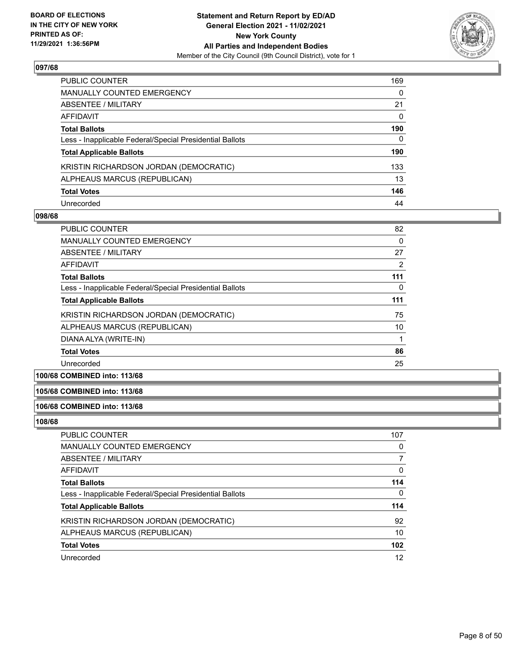

| PUBLIC COUNTER                                           | 169      |
|----------------------------------------------------------|----------|
| <b>MANUALLY COUNTED EMERGENCY</b>                        | 0        |
| <b>ABSENTEE / MILITARY</b>                               | 21       |
| AFFIDAVIT                                                | $\Omega$ |
| <b>Total Ballots</b>                                     | 190      |
| Less - Inapplicable Federal/Special Presidential Ballots | 0        |
| <b>Total Applicable Ballots</b>                          | 190      |
| KRISTIN RICHARDSON JORDAN (DEMOCRATIC)                   | 133      |
| ALPHEAUS MARCUS (REPUBLICAN)                             | 13       |
| <b>Total Votes</b>                                       | 146      |
| Unrecorded                                               | 44       |

#### **098/68**

| <b>PUBLIC COUNTER</b>                                    | 82             |
|----------------------------------------------------------|----------------|
| <b>MANUALLY COUNTED EMERGENCY</b>                        | 0              |
| ABSENTEE / MILITARY                                      | 27             |
| AFFIDAVIT                                                | $\overline{2}$ |
| <b>Total Ballots</b>                                     | 111            |
| Less - Inapplicable Federal/Special Presidential Ballots | 0              |
| <b>Total Applicable Ballots</b>                          | 111            |
| KRISTIN RICHARDSON JORDAN (DEMOCRATIC)                   | 75             |
| ALPHEAUS MARCUS (REPUBLICAN)                             | 10             |
| DIANA ALYA (WRITE-IN)                                    |                |
| <b>Total Votes</b>                                       | 86             |
| Unrecorded                                               | 25             |
| $\sim$                                                   |                |

# **100/68 COMBINED into: 113/68**

## **105/68 COMBINED into: 113/68**

#### **106/68 COMBINED into: 113/68**

| <b>PUBLIC COUNTER</b>                                    | 107 |
|----------------------------------------------------------|-----|
| MANUALLY COUNTED EMERGENCY                               | 0   |
| ABSENTEE / MILITARY                                      |     |
| AFFIDAVIT                                                | 0   |
| <b>Total Ballots</b>                                     | 114 |
| Less - Inapplicable Federal/Special Presidential Ballots | 0   |
| <b>Total Applicable Ballots</b>                          | 114 |
| KRISTIN RICHARDSON JORDAN (DEMOCRATIC)                   | 92  |
| ALPHEAUS MARCUS (REPUBLICAN)                             | 10  |
| <b>Total Votes</b>                                       | 102 |
| Unrecorded                                               | 12  |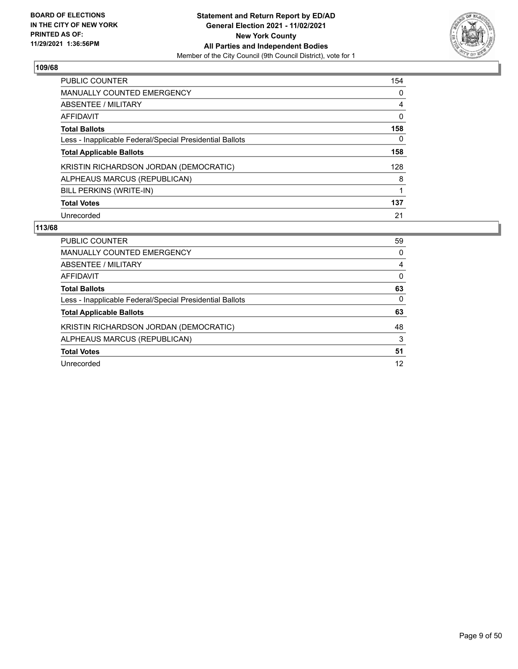

| <b>PUBLIC COUNTER</b>                                    | 154      |
|----------------------------------------------------------|----------|
| <b>MANUALLY COUNTED EMERGENCY</b>                        | $\Omega$ |
| ABSENTEE / MILITARY                                      | 4        |
| <b>AFFIDAVIT</b>                                         | 0        |
| <b>Total Ballots</b>                                     | 158      |
| Less - Inapplicable Federal/Special Presidential Ballots | 0        |
| <b>Total Applicable Ballots</b>                          | 158      |
| KRISTIN RICHARDSON JORDAN (DEMOCRATIC)                   | 128      |
| ALPHEAUS MARCUS (REPUBLICAN)                             | 8        |
| BILL PERKINS (WRITE-IN)                                  |          |
| <b>Total Votes</b>                                       | 137      |
| Unrecorded                                               | 21       |

| PUBLIC COUNTER                                           | 59 |
|----------------------------------------------------------|----|
| <b>MANUALLY COUNTED EMERGENCY</b>                        | 0  |
| <b>ABSENTEE / MILITARY</b>                               | 4  |
| AFFIDAVIT                                                | 0  |
| <b>Total Ballots</b>                                     | 63 |
| Less - Inapplicable Federal/Special Presidential Ballots | 0  |
| <b>Total Applicable Ballots</b>                          | 63 |
| KRISTIN RICHARDSON JORDAN (DEMOCRATIC)                   | 48 |
| ALPHEAUS MARCUS (REPUBLICAN)                             | 3  |
| <b>Total Votes</b>                                       | 51 |
| Unrecorded                                               | 12 |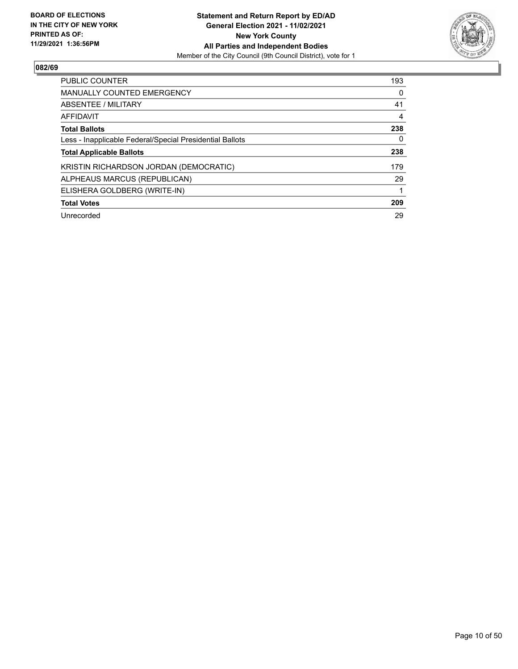

| <b>PUBLIC COUNTER</b>                                    | 193 |
|----------------------------------------------------------|-----|
| <b>MANUALLY COUNTED EMERGENCY</b>                        | 0   |
| ABSENTEE / MILITARY                                      | 41  |
| <b>AFFIDAVIT</b>                                         | 4   |
| <b>Total Ballots</b>                                     | 238 |
| Less - Inapplicable Federal/Special Presidential Ballots | 0   |
| <b>Total Applicable Ballots</b>                          | 238 |
| KRISTIN RICHARDSON JORDAN (DEMOCRATIC)                   | 179 |
| ALPHEAUS MARCUS (REPUBLICAN)                             | 29  |
| ELISHERA GOLDBERG (WRITE-IN)                             |     |
| <b>Total Votes</b>                                       | 209 |
| Unrecorded                                               | 29  |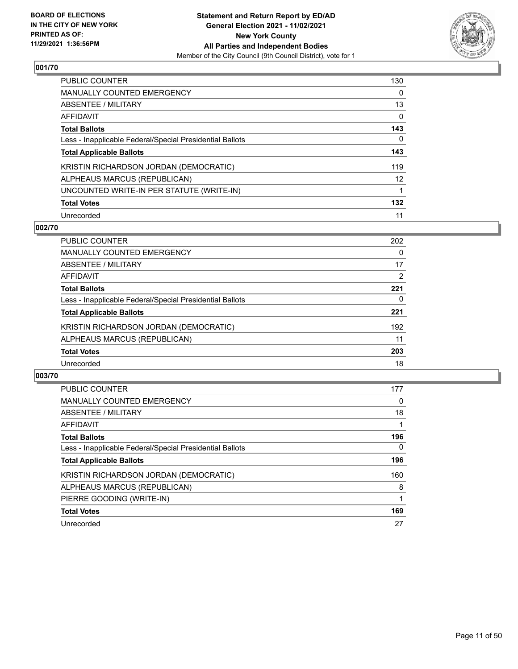

| <b>PUBLIC COUNTER</b>                                    | 130               |
|----------------------------------------------------------|-------------------|
| <b>MANUALLY COUNTED EMERGENCY</b>                        | 0                 |
| ABSENTEE / MILITARY                                      | 13                |
| AFFIDAVIT                                                | 0                 |
| <b>Total Ballots</b>                                     | 143               |
| Less - Inapplicable Federal/Special Presidential Ballots | 0                 |
| <b>Total Applicable Ballots</b>                          | 143               |
| KRISTIN RICHARDSON JORDAN (DEMOCRATIC)                   | 119               |
| ALPHEAUS MARCUS (REPUBLICAN)                             | $12 \overline{ }$ |
| UNCOUNTED WRITE-IN PER STATUTE (WRITE-IN)                | 1                 |
| <b>Total Votes</b>                                       | 132               |
| Unrecorded                                               | 11                |

#### **002/70**

| <b>PUBLIC COUNTER</b>                                    | 202      |
|----------------------------------------------------------|----------|
| MANUALLY COUNTED EMERGENCY                               | $\Omega$ |
| ABSENTEE / MILITARY                                      | 17       |
| AFFIDAVIT                                                | 2        |
| <b>Total Ballots</b>                                     | 221      |
| Less - Inapplicable Federal/Special Presidential Ballots | 0        |
| <b>Total Applicable Ballots</b>                          | 221      |
| KRISTIN RICHARDSON JORDAN (DEMOCRATIC)                   | 192      |
| ALPHEAUS MARCUS (REPUBLICAN)                             | 11       |
| <b>Total Votes</b>                                       | 203      |
| Unrecorded                                               | 18       |

| <b>PUBLIC COUNTER</b>                                    | 177      |
|----------------------------------------------------------|----------|
| MANUALLY COUNTED EMERGENCY                               | $\Omega$ |
| ABSENTEE / MILITARY                                      | 18       |
| AFFIDAVIT                                                |          |
| <b>Total Ballots</b>                                     | 196      |
| Less - Inapplicable Federal/Special Presidential Ballots | 0        |
| <b>Total Applicable Ballots</b>                          | 196      |
| KRISTIN RICHARDSON JORDAN (DEMOCRATIC)                   | 160      |
| ALPHEAUS MARCUS (REPUBLICAN)                             | 8        |
| PIERRE GOODING (WRITE-IN)                                |          |
| <b>Total Votes</b>                                       | 169      |
| Unrecorded                                               | 27       |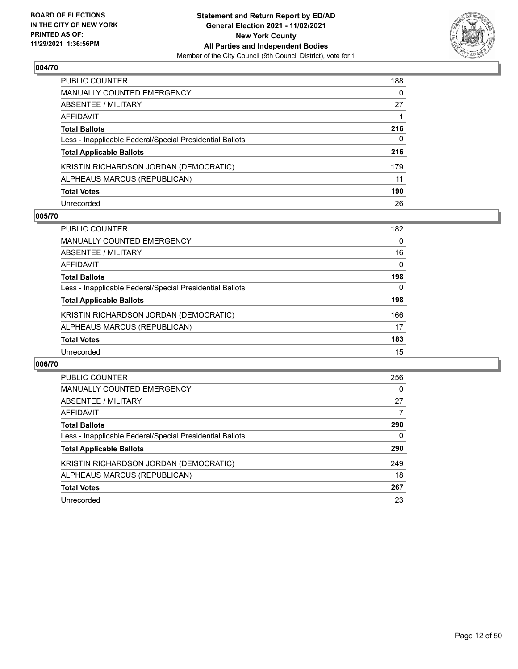

| PUBLIC COUNTER                                           | 188      |
|----------------------------------------------------------|----------|
| <b>MANUALLY COUNTED EMERGENCY</b>                        | $\Omega$ |
| <b>ABSENTEE / MILITARY</b>                               | 27       |
| AFFIDAVIT                                                |          |
| <b>Total Ballots</b>                                     | 216      |
| Less - Inapplicable Federal/Special Presidential Ballots | 0        |
| <b>Total Applicable Ballots</b>                          | 216      |
| KRISTIN RICHARDSON JORDAN (DEMOCRATIC)                   | 179      |
| ALPHEAUS MARCUS (REPUBLICAN)                             | 11       |
| <b>Total Votes</b>                                       | 190      |
| Unrecorded                                               | 26       |

# **005/70**

| <b>PUBLIC COUNTER</b>                                    | 182      |
|----------------------------------------------------------|----------|
| MANUALLY COUNTED EMERGENCY                               | $\Omega$ |
| ABSENTEE / MILITARY                                      | 16       |
| AFFIDAVIT                                                | $\Omega$ |
| <b>Total Ballots</b>                                     | 198      |
| Less - Inapplicable Federal/Special Presidential Ballots | 0        |
| <b>Total Applicable Ballots</b>                          | 198      |
| KRISTIN RICHARDSON JORDAN (DEMOCRATIC)                   | 166      |
| ALPHEAUS MARCUS (REPUBLICAN)                             | 17       |
| <b>Total Votes</b>                                       | 183      |
| Unrecorded                                               | 15       |

| <b>PUBLIC COUNTER</b>                                    | 256 |
|----------------------------------------------------------|-----|
| MANUALLY COUNTED EMERGENCY                               | 0   |
| ABSENTEE / MILITARY                                      | 27  |
| AFFIDAVIT                                                | 7   |
| <b>Total Ballots</b>                                     | 290 |
| Less - Inapplicable Federal/Special Presidential Ballots | 0   |
| <b>Total Applicable Ballots</b>                          | 290 |
| KRISTIN RICHARDSON JORDAN (DEMOCRATIC)                   | 249 |
| ALPHEAUS MARCUS (REPUBLICAN)                             | 18  |
| <b>Total Votes</b>                                       | 267 |
| Unrecorded                                               | 23  |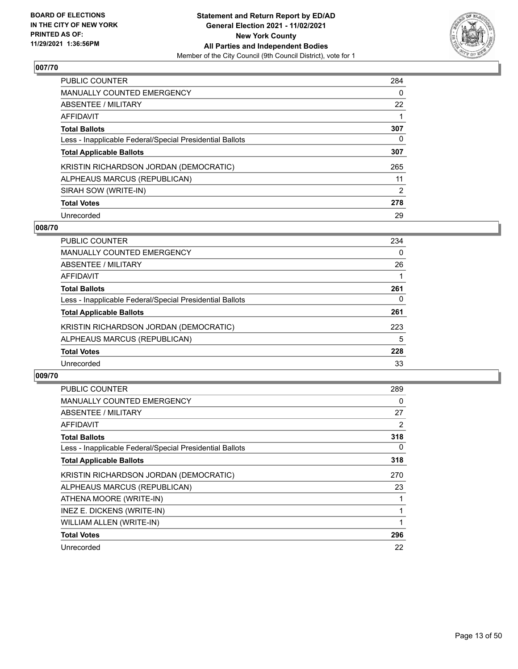

| <b>PUBLIC COUNTER</b>                                    | 284      |
|----------------------------------------------------------|----------|
| <b>MANUALLY COUNTED EMERGENCY</b>                        | $\Omega$ |
| ABSENTEE / MILITARY                                      | 22       |
| AFFIDAVIT                                                |          |
| <b>Total Ballots</b>                                     | 307      |
| Less - Inapplicable Federal/Special Presidential Ballots | 0        |
| <b>Total Applicable Ballots</b>                          | 307      |
| KRISTIN RICHARDSON JORDAN (DEMOCRATIC)                   | 265      |
| ALPHEAUS MARCUS (REPUBLICAN)                             | 11       |
| SIRAH SOW (WRITE-IN)                                     | 2        |
| <b>Total Votes</b>                                       | 278      |
| Unrecorded                                               | 29       |

#### **008/70**

| <b>PUBLIC COUNTER</b>                                    | 234      |
|----------------------------------------------------------|----------|
| MANUALLY COUNTED EMERGENCY                               | $\Omega$ |
| ABSENTEE / MILITARY                                      | 26       |
| AFFIDAVIT                                                |          |
| <b>Total Ballots</b>                                     | 261      |
| Less - Inapplicable Federal/Special Presidential Ballots | 0        |
| <b>Total Applicable Ballots</b>                          | 261      |
| KRISTIN RICHARDSON JORDAN (DEMOCRATIC)                   | 223      |
| ALPHEAUS MARCUS (REPUBLICAN)                             | 5        |
| <b>Total Votes</b>                                       | 228      |
| Unrecorded                                               | 33       |

| <b>PUBLIC COUNTER</b>                                    | 289 |
|----------------------------------------------------------|-----|
| <b>MANUALLY COUNTED EMERGENCY</b>                        | 0   |
| <b>ABSENTEE / MILITARY</b>                               | 27  |
| AFFIDAVIT                                                | 2   |
| <b>Total Ballots</b>                                     | 318 |
| Less - Inapplicable Federal/Special Presidential Ballots | 0   |
| <b>Total Applicable Ballots</b>                          | 318 |
| KRISTIN RICHARDSON JORDAN (DEMOCRATIC)                   | 270 |
| ALPHEAUS MARCUS (REPUBLICAN)                             | 23  |
| ATHENA MOORE (WRITE-IN)                                  |     |
| INEZ E. DICKENS (WRITE-IN)                               |     |
| WILLIAM ALLEN (WRITE-IN)                                 |     |
| <b>Total Votes</b>                                       | 296 |
| Unrecorded                                               | 22  |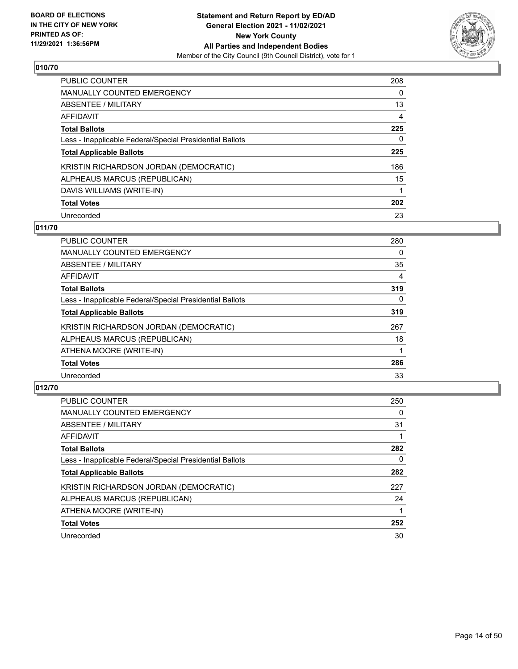

| PUBLIC COUNTER                                           | 208      |
|----------------------------------------------------------|----------|
| MANUALLY COUNTED EMERGENCY                               | $\Omega$ |
| ABSENTEE / MILITARY                                      | 13       |
| AFFIDAVIT                                                | 4        |
| <b>Total Ballots</b>                                     | 225      |
| Less - Inapplicable Federal/Special Presidential Ballots | 0        |
| <b>Total Applicable Ballots</b>                          | 225      |
| KRISTIN RICHARDSON JORDAN (DEMOCRATIC)                   | 186      |
| ALPHEAUS MARCUS (REPUBLICAN)                             | 15       |
| DAVIS WILLIAMS (WRITE-IN)                                | 1        |
| <b>Total Votes</b>                                       | 202      |
| Unrecorded                                               | 23       |

# **011/70**

| <b>PUBLIC COUNTER</b>                                    | 280      |
|----------------------------------------------------------|----------|
| <b>MANUALLY COUNTED EMERGENCY</b>                        | 0        |
| ABSENTEE / MILITARY                                      | 35       |
| <b>AFFIDAVIT</b>                                         | 4        |
| <b>Total Ballots</b>                                     | 319      |
| Less - Inapplicable Federal/Special Presidential Ballots | $\Omega$ |
| <b>Total Applicable Ballots</b>                          | 319      |
| KRISTIN RICHARDSON JORDAN (DEMOCRATIC)                   | 267      |
| ALPHEAUS MARCUS (REPUBLICAN)                             | 18       |
| ATHENA MOORE (WRITE-IN)                                  |          |
| <b>Total Votes</b>                                       | 286      |
| Unrecorded                                               | 33       |

| <b>PUBLIC COUNTER</b>                                    | 250 |
|----------------------------------------------------------|-----|
| <b>MANUALLY COUNTED EMERGENCY</b>                        | 0   |
| ABSENTEE / MILITARY                                      | 31  |
| AFFIDAVIT                                                |     |
| <b>Total Ballots</b>                                     | 282 |
| Less - Inapplicable Federal/Special Presidential Ballots | 0   |
| <b>Total Applicable Ballots</b>                          | 282 |
| KRISTIN RICHARDSON JORDAN (DEMOCRATIC)                   | 227 |
| ALPHEAUS MARCUS (REPUBLICAN)                             | 24  |
| ATHENA MOORE (WRITE-IN)                                  |     |
| <b>Total Votes</b>                                       | 252 |
| Unrecorded                                               | 30  |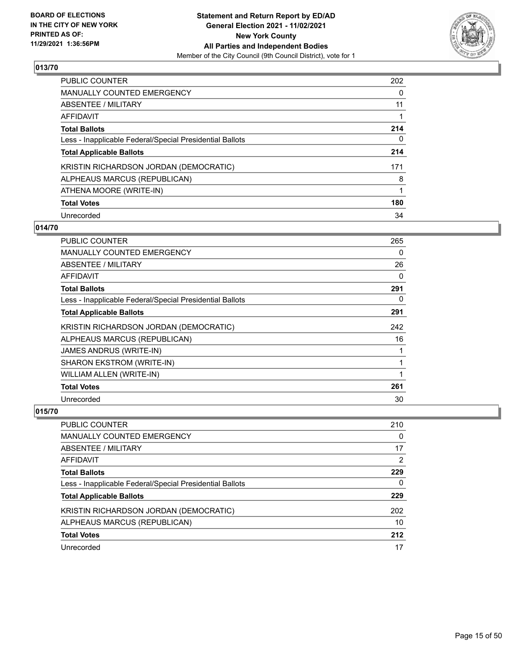

| <b>PUBLIC COUNTER</b>                                    | 202      |
|----------------------------------------------------------|----------|
| MANUALLY COUNTED EMERGENCY                               | $\Omega$ |
| ABSENTEE / MILITARY                                      | 11       |
| AFFIDAVIT                                                |          |
| <b>Total Ballots</b>                                     | 214      |
| Less - Inapplicable Federal/Special Presidential Ballots | 0        |
| <b>Total Applicable Ballots</b>                          | 214      |
| KRISTIN RICHARDSON JORDAN (DEMOCRATIC)                   | 171      |
| ALPHEAUS MARCUS (REPUBLICAN)                             | 8        |
| ATHENA MOORE (WRITE-IN)                                  | 1        |
| <b>Total Votes</b>                                       | 180      |
| Unrecorded                                               | 34       |

# **014/70**

| <b>PUBLIC COUNTER</b>                                    | 265 |
|----------------------------------------------------------|-----|
| <b>MANUALLY COUNTED EMERGENCY</b>                        | 0   |
| ABSENTEE / MILITARY                                      | 26  |
| AFFIDAVIT                                                | 0   |
| <b>Total Ballots</b>                                     | 291 |
| Less - Inapplicable Federal/Special Presidential Ballots | 0   |
| <b>Total Applicable Ballots</b>                          | 291 |
| KRISTIN RICHARDSON JORDAN (DEMOCRATIC)                   | 242 |
| ALPHEAUS MARCUS (REPUBLICAN)                             | 16  |
| JAMES ANDRUS (WRITE-IN)                                  |     |
| SHARON EKSTROM (WRITE-IN)                                | 1   |
| WILLIAM ALLEN (WRITE-IN)                                 | 1   |
| <b>Total Votes</b>                                       | 261 |
| Unrecorded                                               | 30  |

| <b>PUBLIC COUNTER</b>                                    | 210 |
|----------------------------------------------------------|-----|
| <b>MANUALLY COUNTED EMERGENCY</b>                        | 0   |
| ABSENTEE / MILITARY                                      | 17  |
| AFFIDAVIT                                                | 2   |
| <b>Total Ballots</b>                                     | 229 |
| Less - Inapplicable Federal/Special Presidential Ballots | 0   |
| <b>Total Applicable Ballots</b>                          | 229 |
| KRISTIN RICHARDSON JORDAN (DEMOCRATIC)                   | 202 |
| ALPHEAUS MARCUS (REPUBLICAN)                             | 10  |
| <b>Total Votes</b>                                       | 212 |
| Unrecorded                                               | 17  |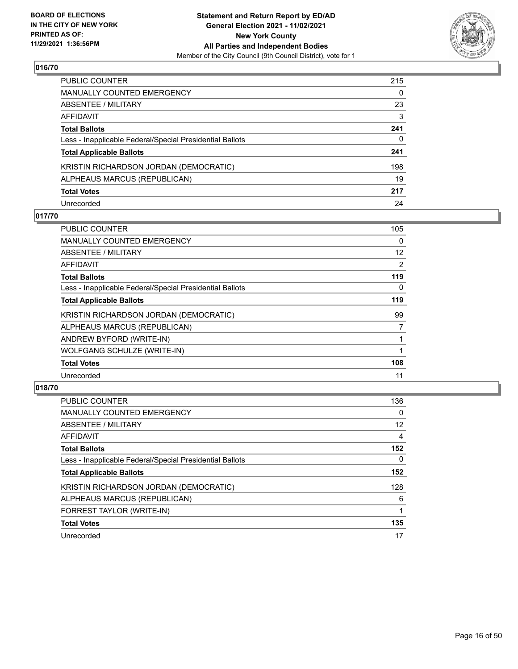

| PUBLIC COUNTER                                           | 215 |
|----------------------------------------------------------|-----|
| <b>MANUALLY COUNTED EMERGENCY</b>                        | 0   |
| ABSENTEE / MILITARY                                      | 23  |
| AFFIDAVIT                                                | 3   |
| <b>Total Ballots</b>                                     | 241 |
| Less - Inapplicable Federal/Special Presidential Ballots | 0   |
| <b>Total Applicable Ballots</b>                          | 241 |
| KRISTIN RICHARDSON JORDAN (DEMOCRATIC)                   | 198 |
| ALPHEAUS MARCUS (REPUBLICAN)                             | 19  |
| <b>Total Votes</b>                                       | 217 |
| Unrecorded                                               | 24  |

# **017/70**

| PUBLIC COUNTER                                           | 105      |
|----------------------------------------------------------|----------|
| <b>MANUALLY COUNTED EMERGENCY</b>                        | $\Omega$ |
| ABSENTEE / MILITARY                                      | 12       |
| AFFIDAVIT                                                | 2        |
| <b>Total Ballots</b>                                     | 119      |
| Less - Inapplicable Federal/Special Presidential Ballots | 0        |
| <b>Total Applicable Ballots</b>                          | 119      |
| KRISTIN RICHARDSON JORDAN (DEMOCRATIC)                   | 99       |
| ALPHEAUS MARCUS (REPUBLICAN)                             | 7        |
| ANDREW BYFORD (WRITE-IN)                                 |          |
| WOLFGANG SCHULZE (WRITE-IN)                              |          |
| <b>Total Votes</b>                                       | 108      |
| Unrecorded                                               | 11       |

| <b>PUBLIC COUNTER</b>                                    | 136      |
|----------------------------------------------------------|----------|
| <b>MANUALLY COUNTED EMERGENCY</b>                        | $\Omega$ |
| ABSENTEE / MILITARY                                      | 12       |
| <b>AFFIDAVIT</b>                                         | 4        |
| <b>Total Ballots</b>                                     | 152      |
| Less - Inapplicable Federal/Special Presidential Ballots | 0        |
| <b>Total Applicable Ballots</b>                          | 152      |
| KRISTIN RICHARDSON JORDAN (DEMOCRATIC)                   | 128      |
| ALPHEAUS MARCUS (REPUBLICAN)                             | 6        |
| FORREST TAYLOR (WRITE-IN)                                |          |
| <b>Total Votes</b>                                       | 135      |
| Unrecorded                                               | 17       |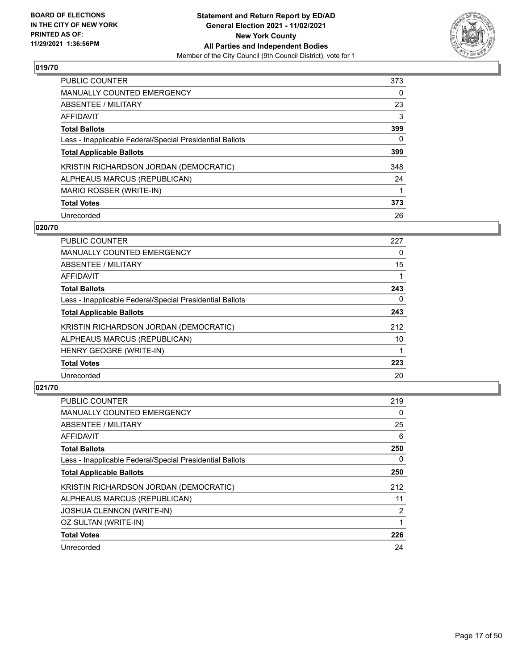

| PUBLIC COUNTER                                           | 373 |
|----------------------------------------------------------|-----|
| <b>MANUALLY COUNTED EMERGENCY</b>                        | 0   |
| ABSENTEE / MILITARY                                      | 23  |
| AFFIDAVIT                                                | 3   |
| <b>Total Ballots</b>                                     | 399 |
| Less - Inapplicable Federal/Special Presidential Ballots | 0   |
| <b>Total Applicable Ballots</b>                          | 399 |
| KRISTIN RICHARDSON JORDAN (DEMOCRATIC)                   | 348 |
| ALPHEAUS MARCUS (REPUBLICAN)                             | 24  |
| MARIO ROSSER (WRITE-IN)                                  |     |
| <b>Total Votes</b>                                       | 373 |
| Unrecorded                                               | 26  |

#### **020/70**

| <b>PUBLIC COUNTER</b>                                    | 227 |
|----------------------------------------------------------|-----|
| <b>MANUALLY COUNTED EMERGENCY</b>                        | 0   |
| ABSENTEE / MILITARY                                      | 15  |
| <b>AFFIDAVIT</b>                                         |     |
| <b>Total Ballots</b>                                     | 243 |
| Less - Inapplicable Federal/Special Presidential Ballots | 0   |
| <b>Total Applicable Ballots</b>                          | 243 |
| KRISTIN RICHARDSON JORDAN (DEMOCRATIC)                   | 212 |
| ALPHEAUS MARCUS (REPUBLICAN)                             | 10  |
| HENRY GEOGRE (WRITE-IN)                                  |     |
| <b>Total Votes</b>                                       | 223 |
| Unrecorded                                               | 20  |

| <b>PUBLIC COUNTER</b>                                    | 219 |
|----------------------------------------------------------|-----|
| <b>MANUALLY COUNTED EMERGENCY</b>                        | 0   |
| ABSENTEE / MILITARY                                      | 25  |
| AFFIDAVIT                                                | 6   |
| <b>Total Ballots</b>                                     | 250 |
| Less - Inapplicable Federal/Special Presidential Ballots | 0   |
| <b>Total Applicable Ballots</b>                          | 250 |
| KRISTIN RICHARDSON JORDAN (DEMOCRATIC)                   | 212 |
| ALPHEAUS MARCUS (REPUBLICAN)                             | 11  |
| <b>JOSHUA CLENNON (WRITE-IN)</b>                         | 2   |
| OZ SULTAN (WRITE-IN)                                     |     |
| <b>Total Votes</b>                                       | 226 |
| Unrecorded                                               | 24  |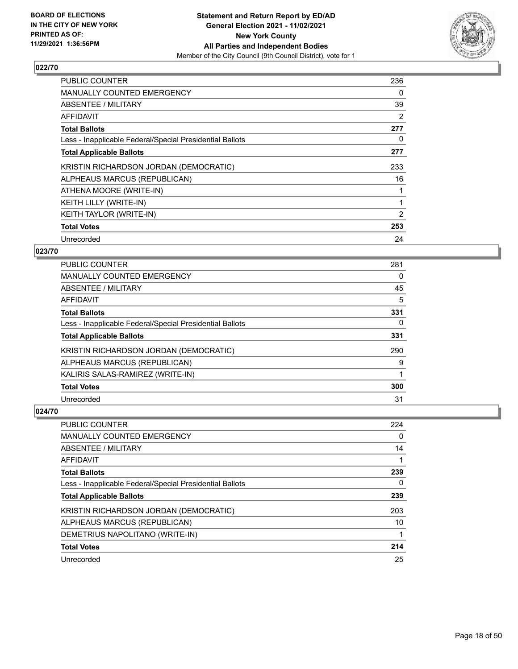

| PUBLIC COUNTER                                           | 236 |
|----------------------------------------------------------|-----|
| <b>MANUALLY COUNTED EMERGENCY</b>                        | 0   |
| ABSENTEE / MILITARY                                      | 39  |
| AFFIDAVIT                                                | 2   |
| <b>Total Ballots</b>                                     | 277 |
| Less - Inapplicable Federal/Special Presidential Ballots | 0   |
| <b>Total Applicable Ballots</b>                          | 277 |
| KRISTIN RICHARDSON JORDAN (DEMOCRATIC)                   | 233 |
| ALPHEAUS MARCUS (REPUBLICAN)                             | 16  |
| ATHENA MOORE (WRITE-IN)                                  |     |
| KEITH LILLY (WRITE-IN)                                   | 1   |
| KEITH TAYLOR (WRITE-IN)                                  | 2   |
| <b>Total Votes</b>                                       | 253 |
| Unrecorded                                               | 24  |

#### **023/70**

| PUBLIC COUNTER                                           | 281 |
|----------------------------------------------------------|-----|
| <b>MANUALLY COUNTED EMERGENCY</b>                        | 0   |
| ABSENTEE / MILITARY                                      | 45  |
| AFFIDAVIT                                                | 5   |
| <b>Total Ballots</b>                                     | 331 |
| Less - Inapplicable Federal/Special Presidential Ballots | 0   |
| <b>Total Applicable Ballots</b>                          | 331 |
| KRISTIN RICHARDSON JORDAN (DEMOCRATIC)                   | 290 |
| ALPHEAUS MARCUS (REPUBLICAN)                             | 9   |
| KALIRIS SALAS-RAMIREZ (WRITE-IN)                         |     |
| <b>Total Votes</b>                                       | 300 |
| Unrecorded                                               | 31  |

| <b>PUBLIC COUNTER</b>                                    | 224 |
|----------------------------------------------------------|-----|
| <b>MANUALLY COUNTED EMERGENCY</b>                        | 0   |
| ABSENTEE / MILITARY                                      | 14  |
| AFFIDAVIT                                                |     |
| <b>Total Ballots</b>                                     | 239 |
| Less - Inapplicable Federal/Special Presidential Ballots | 0   |
| <b>Total Applicable Ballots</b>                          | 239 |
| KRISTIN RICHARDSON JORDAN (DEMOCRATIC)                   | 203 |
| ALPHEAUS MARCUS (REPUBLICAN)                             | 10  |
| DEMETRIUS NAPOLITANO (WRITE-IN)                          | 1   |
| <b>Total Votes</b>                                       | 214 |
|                                                          |     |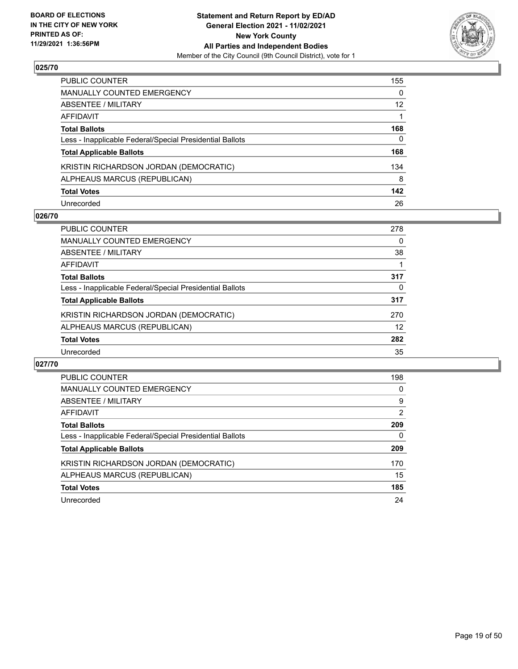

| PUBLIC COUNTER                                           | 155               |
|----------------------------------------------------------|-------------------|
| <b>MANUALLY COUNTED EMERGENCY</b>                        | 0                 |
| <b>ABSENTEE / MILITARY</b>                               | $12 \overline{ }$ |
| AFFIDAVIT                                                |                   |
| <b>Total Ballots</b>                                     | 168               |
| Less - Inapplicable Federal/Special Presidential Ballots | 0                 |
| <b>Total Applicable Ballots</b>                          | 168               |
| KRISTIN RICHARDSON JORDAN (DEMOCRATIC)                   | 134               |
| ALPHEAUS MARCUS (REPUBLICAN)                             | 8                 |
| <b>Total Votes</b>                                       | 142               |
| Unrecorded                                               | 26                |

## **026/70**

| PUBLIC COUNTER                                           | 278 |
|----------------------------------------------------------|-----|
| <b>MANUALLY COUNTED EMERGENCY</b>                        | 0   |
| ABSENTEE / MILITARY                                      | 38  |
| AFFIDAVIT                                                |     |
| <b>Total Ballots</b>                                     | 317 |
| Less - Inapplicable Federal/Special Presidential Ballots | 0   |
| <b>Total Applicable Ballots</b>                          | 317 |
| KRISTIN RICHARDSON JORDAN (DEMOCRATIC)                   | 270 |
| ALPHEAUS MARCUS (REPUBLICAN)                             | 12  |
| <b>Total Votes</b>                                       | 282 |
| Unrecorded                                               | 35  |

| PUBLIC COUNTER                                           | 198      |
|----------------------------------------------------------|----------|
| <b>MANUALLY COUNTED EMERGENCY</b>                        | $\Omega$ |
| ABSENTEE / MILITARY                                      | 9        |
| AFFIDAVIT                                                | 2        |
| <b>Total Ballots</b>                                     | 209      |
| Less - Inapplicable Federal/Special Presidential Ballots | 0        |
| <b>Total Applicable Ballots</b>                          | 209      |
| KRISTIN RICHARDSON JORDAN (DEMOCRATIC)                   | 170      |
| ALPHEAUS MARCUS (REPUBLICAN)                             | 15       |
|                                                          |          |
| <b>Total Votes</b>                                       | 185      |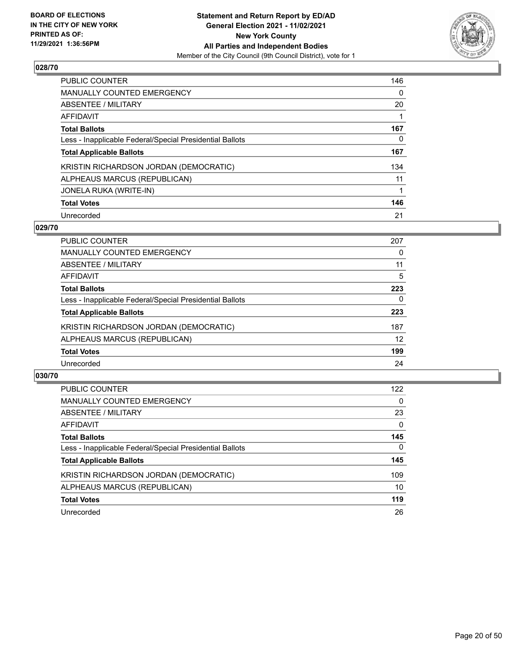

| <b>PUBLIC COUNTER</b>                                    | 146      |
|----------------------------------------------------------|----------|
| MANUALLY COUNTED EMERGENCY                               | $\Omega$ |
| ABSENTEE / MILITARY                                      | 20       |
| AFFIDAVIT                                                |          |
| <b>Total Ballots</b>                                     | 167      |
| Less - Inapplicable Federal/Special Presidential Ballots | 0        |
| <b>Total Applicable Ballots</b>                          | 167      |
| KRISTIN RICHARDSON JORDAN (DEMOCRATIC)                   | 134      |
| ALPHEAUS MARCUS (REPUBLICAN)                             | 11       |
| JONELA RUKA (WRITE-IN)                                   | 1        |
| <b>Total Votes</b>                                       | 146      |
| Unrecorded                                               | 21       |

#### **029/70**

| <b>PUBLIC COUNTER</b>                                    | 207      |
|----------------------------------------------------------|----------|
| MANUALLY COUNTED EMERGENCY                               | 0        |
| ABSENTEE / MILITARY                                      | 11       |
| <b>AFFIDAVIT</b>                                         | 5        |
| <b>Total Ballots</b>                                     | 223      |
| Less - Inapplicable Federal/Special Presidential Ballots | $\Omega$ |
| <b>Total Applicable Ballots</b>                          | 223      |
| KRISTIN RICHARDSON JORDAN (DEMOCRATIC)                   | 187      |
| ALPHEAUS MARCUS (REPUBLICAN)                             | 12       |
| <b>Total Votes</b>                                       | 199      |
| Unrecorded                                               | 24       |

| <b>PUBLIC COUNTER</b>                                    | 122      |
|----------------------------------------------------------|----------|
| <b>MANUALLY COUNTED EMERGENCY</b>                        | $\Omega$ |
| ABSENTEE / MILITARY                                      | 23       |
| AFFIDAVIT                                                | 0        |
| <b>Total Ballots</b>                                     | 145      |
| Less - Inapplicable Federal/Special Presidential Ballots | $\Omega$ |
| <b>Total Applicable Ballots</b>                          | 145      |
| KRISTIN RICHARDSON JORDAN (DEMOCRATIC)                   | 109      |
| ALPHEAUS MARCUS (REPUBLICAN)                             | 10       |
| <b>Total Votes</b>                                       | 119      |
| Unrecorded                                               | 26       |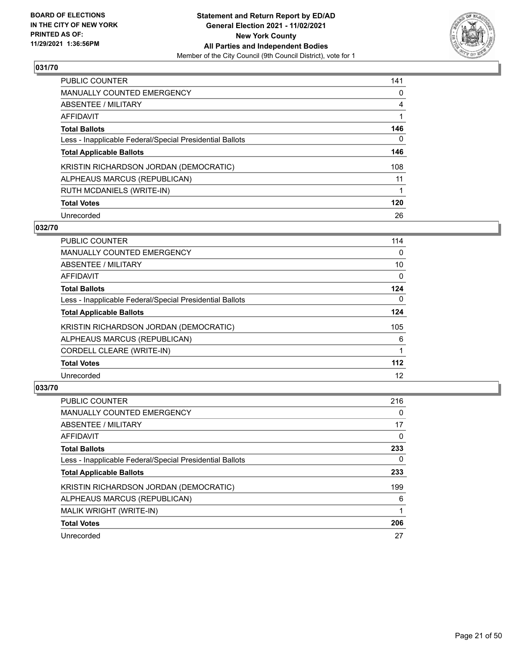

| PUBLIC COUNTER                                           | 141 |
|----------------------------------------------------------|-----|
| <b>MANUALLY COUNTED EMERGENCY</b>                        | 0   |
| ABSENTEE / MILITARY                                      | 4   |
| AFFIDAVIT                                                |     |
| <b>Total Ballots</b>                                     | 146 |
| Less - Inapplicable Federal/Special Presidential Ballots | 0   |
| <b>Total Applicable Ballots</b>                          | 146 |
| KRISTIN RICHARDSON JORDAN (DEMOCRATIC)                   | 108 |
| ALPHEAUS MARCUS (REPUBLICAN)                             | 11  |
| <b>RUTH MCDANIELS (WRITE-IN)</b>                         |     |
| <b>Total Votes</b>                                       | 120 |
| Unrecorded                                               | 26  |

#### **032/70**

| <b>PUBLIC COUNTER</b>                                    | 114      |
|----------------------------------------------------------|----------|
| <b>MANUALLY COUNTED EMERGENCY</b>                        | $\Omega$ |
| <b>ABSENTEE / MILITARY</b>                               | 10       |
| <b>AFFIDAVIT</b>                                         | $\Omega$ |
| <b>Total Ballots</b>                                     | 124      |
| Less - Inapplicable Federal/Special Presidential Ballots | 0        |
| <b>Total Applicable Ballots</b>                          | 124      |
| KRISTIN RICHARDSON JORDAN (DEMOCRATIC)                   | 105      |
| ALPHEAUS MARCUS (REPUBLICAN)                             | 6        |
| CORDELL CLEARE (WRITE-IN)                                |          |
| <b>Total Votes</b>                                       | $112$    |
| Unrecorded                                               | 12       |

| <b>PUBLIC COUNTER</b>                                    | 216      |
|----------------------------------------------------------|----------|
| <b>MANUALLY COUNTED EMERGENCY</b>                        | $\Omega$ |
| ABSENTEE / MILITARY                                      | 17       |
| <b>AFFIDAVIT</b>                                         | $\Omega$ |
| <b>Total Ballots</b>                                     | 233      |
| Less - Inapplicable Federal/Special Presidential Ballots | 0        |
| <b>Total Applicable Ballots</b>                          | 233      |
| KRISTIN RICHARDSON JORDAN (DEMOCRATIC)                   | 199      |
| ALPHEAUS MARCUS (REPUBLICAN)                             | 6        |
| <b>MALIK WRIGHT (WRITE-IN)</b>                           |          |
| <b>Total Votes</b>                                       | 206      |
| Unrecorded                                               | 27       |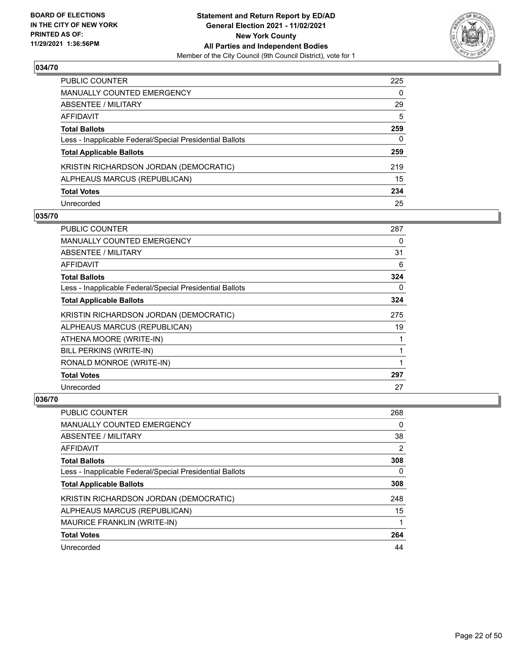

| PUBLIC COUNTER                                           | 225 |
|----------------------------------------------------------|-----|
| <b>MANUALLY COUNTED EMERGENCY</b>                        | 0   |
| ABSENTEE / MILITARY                                      | 29  |
| AFFIDAVIT                                                | 5   |
| <b>Total Ballots</b>                                     | 259 |
| Less - Inapplicable Federal/Special Presidential Ballots | 0   |
| <b>Total Applicable Ballots</b>                          | 259 |
| KRISTIN RICHARDSON JORDAN (DEMOCRATIC)                   | 219 |
| ALPHEAUS MARCUS (REPUBLICAN)                             | 15  |
| <b>Total Votes</b>                                       | 234 |
| Unrecorded                                               | 25  |

## **035/70**

| PUBLIC COUNTER                                           | 287 |
|----------------------------------------------------------|-----|
| <b>MANUALLY COUNTED EMERGENCY</b>                        | 0   |
| ABSENTEE / MILITARY                                      | 31  |
| <b>AFFIDAVIT</b>                                         | 6   |
| <b>Total Ballots</b>                                     | 324 |
| Less - Inapplicable Federal/Special Presidential Ballots | 0   |
| <b>Total Applicable Ballots</b>                          | 324 |
| KRISTIN RICHARDSON JORDAN (DEMOCRATIC)                   | 275 |
| ALPHEAUS MARCUS (REPUBLICAN)                             | 19  |
| ATHENA MOORE (WRITE-IN)                                  |     |
| BILL PERKINS (WRITE-IN)                                  |     |
| RONALD MONROE (WRITE-IN)                                 |     |
| <b>Total Votes</b>                                       | 297 |
| Unrecorded                                               | 27  |

| <b>PUBLIC COUNTER</b>                                    | 268 |
|----------------------------------------------------------|-----|
| <b>MANUALLY COUNTED EMERGENCY</b>                        | 0   |
| ABSENTEE / MILITARY                                      | 38  |
| AFFIDAVIT                                                | 2   |
| <b>Total Ballots</b>                                     | 308 |
| Less - Inapplicable Federal/Special Presidential Ballots | 0   |
| <b>Total Applicable Ballots</b>                          | 308 |
| KRISTIN RICHARDSON JORDAN (DEMOCRATIC)                   | 248 |
| ALPHEAUS MARCUS (REPUBLICAN)                             | 15  |
| MAURICE FRANKLIN (WRITE-IN)                              |     |
| <b>Total Votes</b>                                       | 264 |
| Unrecorded                                               | 44  |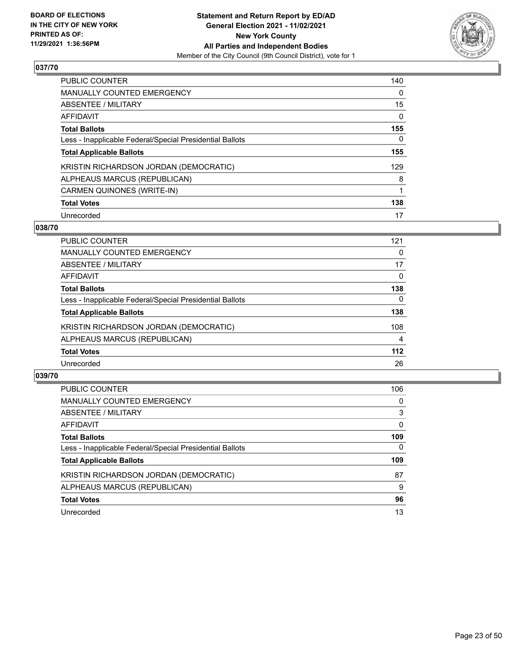

| <b>PUBLIC COUNTER</b>                                    | 140      |
|----------------------------------------------------------|----------|
| <b>MANUALLY COUNTED EMERGENCY</b>                        | $\Omega$ |
| ABSENTEE / MILITARY                                      | 15       |
| <b>AFFIDAVIT</b>                                         | 0        |
| <b>Total Ballots</b>                                     | 155      |
| Less - Inapplicable Federal/Special Presidential Ballots | 0        |
| <b>Total Applicable Ballots</b>                          | 155      |
| KRISTIN RICHARDSON JORDAN (DEMOCRATIC)                   | 129      |
| ALPHEAUS MARCUS (REPUBLICAN)                             | 8        |
| CARMEN QUINONES (WRITE-IN)                               | 1        |
| <b>Total Votes</b>                                       | 138      |
| Unrecorded                                               | 17       |

#### **038/70**

| <b>PUBLIC COUNTER</b>                                    | 121 |
|----------------------------------------------------------|-----|
| <b>MANUALLY COUNTED EMERGENCY</b>                        | 0   |
| ABSENTEE / MILITARY                                      | 17  |
| AFFIDAVIT                                                | 0   |
| <b>Total Ballots</b>                                     | 138 |
| Less - Inapplicable Federal/Special Presidential Ballots | 0   |
| <b>Total Applicable Ballots</b>                          | 138 |
| KRISTIN RICHARDSON JORDAN (DEMOCRATIC)                   | 108 |
| ALPHEAUS MARCUS (REPUBLICAN)                             | 4   |
| <b>Total Votes</b>                                       | 112 |
| Unrecorded                                               | 26  |

| PUBLIC COUNTER                                           | 106          |
|----------------------------------------------------------|--------------|
| <b>MANUALLY COUNTED EMERGENCY</b>                        | $\Omega$     |
| ABSENTEE / MILITARY                                      | 3            |
| AFFIDAVIT                                                | $\Omega$     |
| <b>Total Ballots</b>                                     | 109          |
| Less - Inapplicable Federal/Special Presidential Ballots | $\mathbf{0}$ |
| <b>Total Applicable Ballots</b>                          | 109          |
| KRISTIN RICHARDSON JORDAN (DEMOCRATIC)                   | 87           |
| ALPHEAUS MARCUS (REPUBLICAN)                             | 9            |
| <b>Total Votes</b>                                       | 96           |
| Unrecorded                                               | 13           |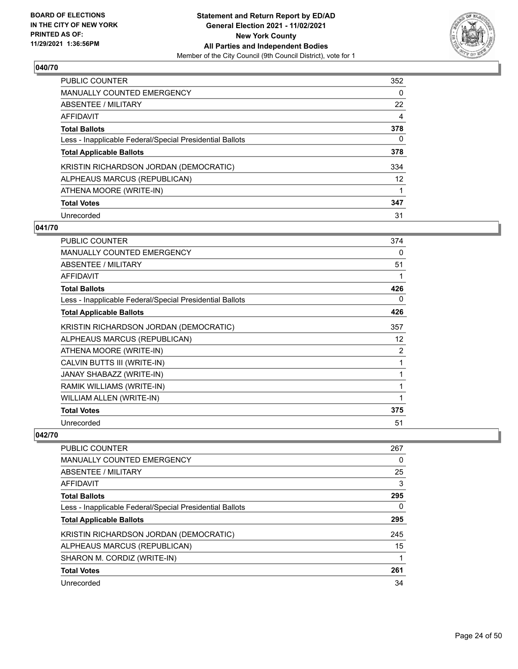

| PUBLIC COUNTER                                           | 352      |
|----------------------------------------------------------|----------|
| <b>MANUALLY COUNTED EMERGENCY</b>                        | $\Omega$ |
| ABSENTEE / MILITARY                                      | 22       |
| AFFIDAVIT                                                | 4        |
| <b>Total Ballots</b>                                     | 378      |
| Less - Inapplicable Federal/Special Presidential Ballots | 0        |
| <b>Total Applicable Ballots</b>                          | 378      |
| KRISTIN RICHARDSON JORDAN (DEMOCRATIC)                   | 334      |
| ALPHEAUS MARCUS (REPUBLICAN)                             | 12       |
| ATHENA MOORE (WRITE-IN)                                  |          |
| <b>Total Votes</b>                                       | 347      |
| Unrecorded                                               | 31       |

#### **041/70**

| <b>PUBLIC COUNTER</b>                                    | 374 |
|----------------------------------------------------------|-----|
| <b>MANUALLY COUNTED EMERGENCY</b>                        | 0   |
| ABSENTEE / MILITARY                                      | 51  |
| <b>AFFIDAVIT</b>                                         | 1   |
| <b>Total Ballots</b>                                     | 426 |
| Less - Inapplicable Federal/Special Presidential Ballots | 0   |
| <b>Total Applicable Ballots</b>                          | 426 |
| KRISTIN RICHARDSON JORDAN (DEMOCRATIC)                   | 357 |
| ALPHEAUS MARCUS (REPUBLICAN)                             | 12  |
| ATHENA MOORE (WRITE-IN)                                  | 2   |
| CALVIN BUTTS III (WRITE-IN)                              | 1   |
| JANAY SHABAZZ (WRITE-IN)                                 | 1   |
| RAMIK WILLIAMS (WRITE-IN)                                | 1   |
| WILLIAM ALLEN (WRITE-IN)                                 | 1   |
| <b>Total Votes</b>                                       | 375 |
| Unrecorded                                               | 51  |

| 267 |
|-----|
| 0   |
| 25  |
| 3   |
| 295 |
| 0   |
| 295 |
| 245 |
| 15  |
|     |
| 261 |
| 34  |
|     |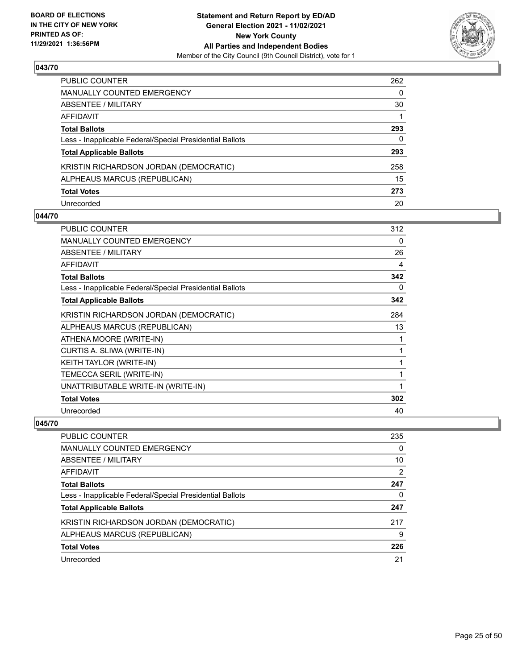

| PUBLIC COUNTER                                           | 262 |
|----------------------------------------------------------|-----|
| <b>MANUALLY COUNTED EMERGENCY</b>                        | 0   |
| <b>ABSENTEE / MILITARY</b>                               | 30  |
| AFFIDAVIT                                                |     |
| <b>Total Ballots</b>                                     | 293 |
| Less - Inapplicable Federal/Special Presidential Ballots | 0   |
| <b>Total Applicable Ballots</b>                          | 293 |
| KRISTIN RICHARDSON JORDAN (DEMOCRATIC)                   | 258 |
| ALPHEAUS MARCUS (REPUBLICAN)                             | 15  |
| <b>Total Votes</b>                                       | 273 |
| Unrecorded                                               | 20  |

#### **044/70**

| <b>PUBLIC COUNTER</b>                                    | 312 |
|----------------------------------------------------------|-----|
| <b>MANUALLY COUNTED EMERGENCY</b>                        | 0   |
| ABSENTEE / MILITARY                                      | 26  |
| <b>AFFIDAVIT</b>                                         | 4   |
| <b>Total Ballots</b>                                     | 342 |
| Less - Inapplicable Federal/Special Presidential Ballots | 0   |
| <b>Total Applicable Ballots</b>                          | 342 |
| KRISTIN RICHARDSON JORDAN (DEMOCRATIC)                   | 284 |
| ALPHEAUS MARCUS (REPUBLICAN)                             | 13  |
| ATHENA MOORE (WRITE-IN)                                  | 1   |
| CURTIS A. SLIWA (WRITE-IN)                               | 1   |
| KEITH TAYLOR (WRITE-IN)                                  | 1   |
| TEMECCA SERIL (WRITE-IN)                                 | 1   |
| UNATTRIBUTABLE WRITE-IN (WRITE-IN)                       | 1   |
| <b>Total Votes</b>                                       | 302 |
| Unrecorded                                               | 40  |

| PUBLIC COUNTER                                           | 235      |
|----------------------------------------------------------|----------|
| MANUALLY COUNTED EMERGENCY                               | $\Omega$ |
| ABSENTEE / MILITARY                                      | 10       |
| AFFIDAVIT                                                | 2        |
| <b>Total Ballots</b>                                     | 247      |
| Less - Inapplicable Federal/Special Presidential Ballots | 0        |
| <b>Total Applicable Ballots</b>                          | 247      |
| KRISTIN RICHARDSON JORDAN (DEMOCRATIC)                   | 217      |
| ALPHEAUS MARCUS (REPUBLICAN)                             | 9        |
| <b>Total Votes</b>                                       | 226      |
| Unrecorded                                               | 21       |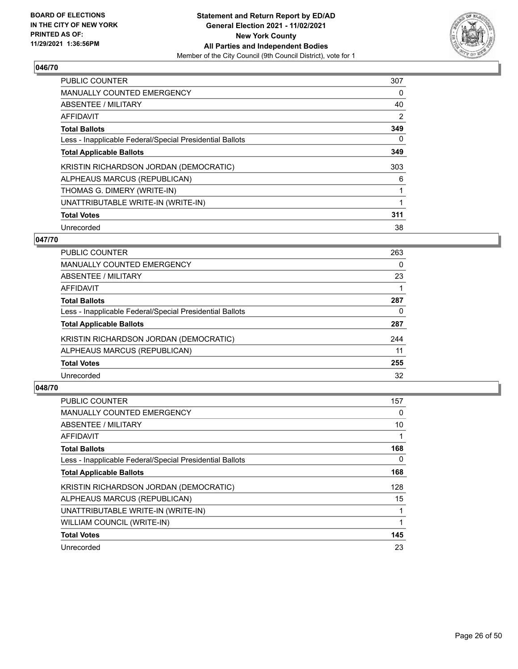

| PUBLIC COUNTER                                           | 307 |
|----------------------------------------------------------|-----|
| <b>MANUALLY COUNTED EMERGENCY</b>                        | 0   |
| ABSENTEE / MILITARY                                      | 40  |
| <b>AFFIDAVIT</b>                                         | 2   |
| <b>Total Ballots</b>                                     | 349 |
| Less - Inapplicable Federal/Special Presidential Ballots | 0   |
| <b>Total Applicable Ballots</b>                          | 349 |
| KRISTIN RICHARDSON JORDAN (DEMOCRATIC)                   | 303 |
| ALPHEAUS MARCUS (REPUBLICAN)                             | 6   |
| THOMAS G. DIMERY (WRITE-IN)                              |     |
| UNATTRIBUTABLE WRITE-IN (WRITE-IN)                       |     |
| <b>Total Votes</b>                                       | 311 |
| Unrecorded                                               | 38  |

# **047/70**

| PUBLIC COUNTER                                           | 263 |
|----------------------------------------------------------|-----|
| <b>MANUALLY COUNTED EMERGENCY</b>                        | 0   |
| ABSENTEE / MILITARY                                      | 23  |
| AFFIDAVIT                                                |     |
| <b>Total Ballots</b>                                     | 287 |
| Less - Inapplicable Federal/Special Presidential Ballots | 0   |
| <b>Total Applicable Ballots</b>                          | 287 |
| KRISTIN RICHARDSON JORDAN (DEMOCRATIC)                   | 244 |
| ALPHEAUS MARCUS (REPUBLICAN)                             | 11  |
| <b>Total Votes</b>                                       | 255 |
| Unrecorded                                               | 32  |
|                                                          |     |

| <b>PUBLIC COUNTER</b>                                    | 157 |
|----------------------------------------------------------|-----|
| <b>MANUALLY COUNTED EMERGENCY</b>                        | 0   |
| ABSENTEE / MILITARY                                      | 10  |
| AFFIDAVIT                                                |     |
| <b>Total Ballots</b>                                     | 168 |
| Less - Inapplicable Federal/Special Presidential Ballots | 0   |
| <b>Total Applicable Ballots</b>                          | 168 |
| KRISTIN RICHARDSON JORDAN (DEMOCRATIC)                   | 128 |
| ALPHEAUS MARCUS (REPUBLICAN)                             | 15  |
| UNATTRIBUTABLE WRITE-IN (WRITE-IN)                       |     |
| WILLIAM COUNCIL (WRITE-IN)                               |     |
| <b>Total Votes</b>                                       | 145 |
| Unrecorded                                               | 23  |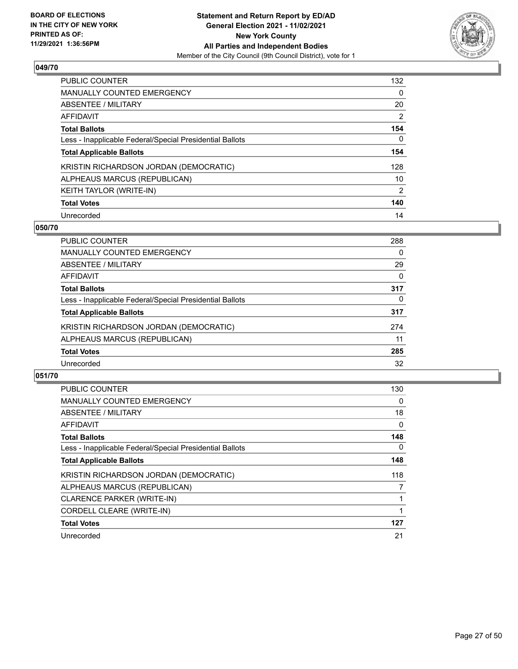

| <b>PUBLIC COUNTER</b>                                    | 132      |
|----------------------------------------------------------|----------|
| <b>MANUALLY COUNTED EMERGENCY</b>                        | $\Omega$ |
| ABSENTEE / MILITARY                                      | 20       |
| AFFIDAVIT                                                | 2        |
| <b>Total Ballots</b>                                     | 154      |
| Less - Inapplicable Federal/Special Presidential Ballots | 0        |
| <b>Total Applicable Ballots</b>                          | 154      |
| KRISTIN RICHARDSON JORDAN (DEMOCRATIC)                   | 128      |
| ALPHEAUS MARCUS (REPUBLICAN)                             | 10       |
| KEITH TAYLOR (WRITE-IN)                                  | 2        |
| <b>Total Votes</b>                                       | 140      |
| Unrecorded                                               | 14       |

#### **050/70**

| <b>PUBLIC COUNTER</b>                                    | 288 |
|----------------------------------------------------------|-----|
| MANUALLY COUNTED EMERGENCY                               | 0   |
| ABSENTEE / MILITARY                                      | 29  |
| AFFIDAVIT                                                | 0   |
| <b>Total Ballots</b>                                     | 317 |
| Less - Inapplicable Federal/Special Presidential Ballots | 0   |
| <b>Total Applicable Ballots</b>                          | 317 |
| KRISTIN RICHARDSON JORDAN (DEMOCRATIC)                   | 274 |
| ALPHEAUS MARCUS (REPUBLICAN)                             | 11  |
| <b>Total Votes</b>                                       | 285 |
| Unrecorded                                               | 32  |

| <b>PUBLIC COUNTER</b>                                    | 130 |
|----------------------------------------------------------|-----|
| MANUALLY COUNTED EMERGENCY                               | 0   |
| ABSENTEE / MILITARY                                      | 18  |
| <b>AFFIDAVIT</b>                                         | 0   |
| <b>Total Ballots</b>                                     | 148 |
| Less - Inapplicable Federal/Special Presidential Ballots | 0   |
| <b>Total Applicable Ballots</b>                          | 148 |
| KRISTIN RICHARDSON JORDAN (DEMOCRATIC)                   | 118 |
| ALPHEAUS MARCUS (REPUBLICAN)                             | 7   |
| <b>CLARENCE PARKER (WRITE-IN)</b>                        |     |
| CORDELL CLEARE (WRITE-IN)                                |     |
| <b>Total Votes</b>                                       | 127 |
| Unrecorded                                               | 21  |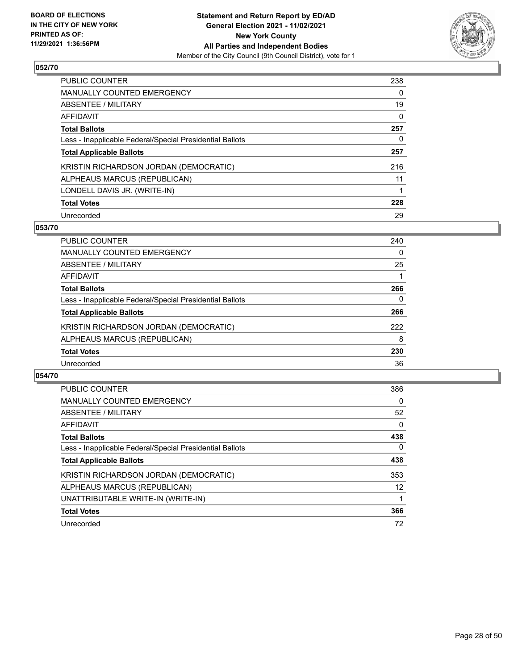

| <b>PUBLIC COUNTER</b>                                    | 238      |
|----------------------------------------------------------|----------|
| <b>MANUALLY COUNTED EMERGENCY</b>                        | $\Omega$ |
| ABSENTEE / MILITARY                                      | 19       |
| AFFIDAVIT                                                | $\Omega$ |
| <b>Total Ballots</b>                                     | 257      |
| Less - Inapplicable Federal/Special Presidential Ballots | 0        |
| <b>Total Applicable Ballots</b>                          | 257      |
| KRISTIN RICHARDSON JORDAN (DEMOCRATIC)                   | 216      |
| ALPHEAUS MARCUS (REPUBLICAN)                             | 11       |
| LONDELL DAVIS JR. (WRITE-IN)                             | 1        |
| <b>Total Votes</b>                                       | 228      |
| Unrecorded                                               | 29       |

#### **053/70**

| <b>PUBLIC COUNTER</b>                                    | 240      |
|----------------------------------------------------------|----------|
| MANUALLY COUNTED EMERGENCY                               | $\Omega$ |
| ABSENTEE / MILITARY                                      | 25       |
| AFFIDAVIT                                                |          |
| <b>Total Ballots</b>                                     | 266      |
| Less - Inapplicable Federal/Special Presidential Ballots | 0        |
| <b>Total Applicable Ballots</b>                          | 266      |
| KRISTIN RICHARDSON JORDAN (DEMOCRATIC)                   | 222      |
| ALPHEAUS MARCUS (REPUBLICAN)                             | 8        |
| <b>Total Votes</b>                                       | 230      |
| Unrecorded                                               | 36       |

| <b>PUBLIC COUNTER</b>                                    | 386               |
|----------------------------------------------------------|-------------------|
| <b>MANUALLY COUNTED EMERGENCY</b>                        | 0                 |
| ABSENTEE / MILITARY                                      | 52                |
| AFFIDAVIT                                                | $\Omega$          |
| <b>Total Ballots</b>                                     | 438               |
| Less - Inapplicable Federal/Special Presidential Ballots | $\Omega$          |
| <b>Total Applicable Ballots</b>                          | 438               |
| KRISTIN RICHARDSON JORDAN (DEMOCRATIC)                   | 353               |
| ALPHEAUS MARCUS (REPUBLICAN)                             | $12 \overline{ }$ |
| UNATTRIBUTABLE WRITE-IN (WRITE-IN)                       |                   |
| <b>Total Votes</b>                                       | 366               |
| Unrecorded                                               | 72                |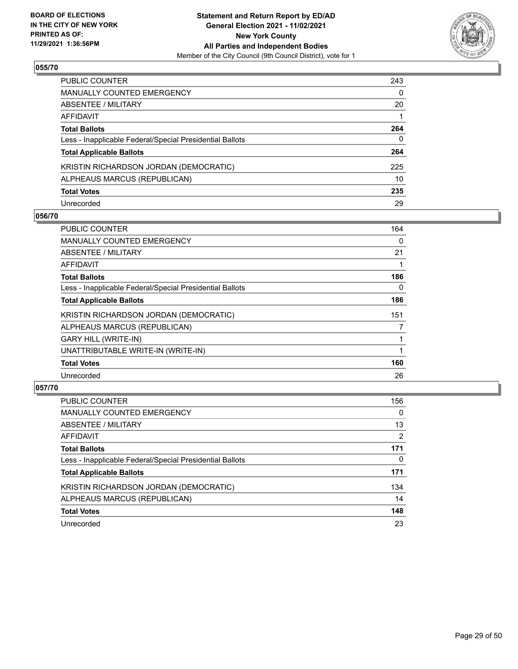

| PUBLIC COUNTER                                           | 243      |
|----------------------------------------------------------|----------|
| <b>MANUALLY COUNTED EMERGENCY</b>                        | $\Omega$ |
| ABSENTEE / MILITARY                                      | 20       |
| AFFIDAVIT                                                |          |
| <b>Total Ballots</b>                                     | 264      |
| Less - Inapplicable Federal/Special Presidential Ballots | 0        |
| <b>Total Applicable Ballots</b>                          | 264      |
| KRISTIN RICHARDSON JORDAN (DEMOCRATIC)                   | 225      |
| ALPHEAUS MARCUS (REPUBLICAN)                             | 10       |
| <b>Total Votes</b>                                       | 235      |
| Unrecorded                                               | 29       |

#### **056/70**

| <b>PUBLIC COUNTER</b>                                    | 164 |
|----------------------------------------------------------|-----|
| <b>MANUALLY COUNTED EMERGENCY</b>                        | 0   |
| ABSENTEE / MILITARY                                      | 21  |
| AFFIDAVIT                                                |     |
| <b>Total Ballots</b>                                     | 186 |
| Less - Inapplicable Federal/Special Presidential Ballots | 0   |
| <b>Total Applicable Ballots</b>                          | 186 |
| KRISTIN RICHARDSON JORDAN (DEMOCRATIC)                   | 151 |
| ALPHEAUS MARCUS (REPUBLICAN)                             | 7   |
| <b>GARY HILL (WRITE-IN)</b>                              |     |
| UNATTRIBUTABLE WRITE-IN (WRITE-IN)                       |     |
| <b>Total Votes</b>                                       | 160 |
| Unrecorded                                               | 26  |

| <b>PUBLIC COUNTER</b>                                    | 156 |
|----------------------------------------------------------|-----|
| <b>MANUALLY COUNTED EMERGENCY</b>                        | 0   |
| ABSENTEE / MILITARY                                      | 13  |
| AFFIDAVIT                                                | 2   |
| <b>Total Ballots</b>                                     | 171 |
| Less - Inapplicable Federal/Special Presidential Ballots | 0   |
| <b>Total Applicable Ballots</b>                          | 171 |
| KRISTIN RICHARDSON JORDAN (DEMOCRATIC)                   | 134 |
| ALPHEAUS MARCUS (REPUBLICAN)                             | 14  |
| <b>Total Votes</b>                                       | 148 |
| Unrecorded                                               | 23  |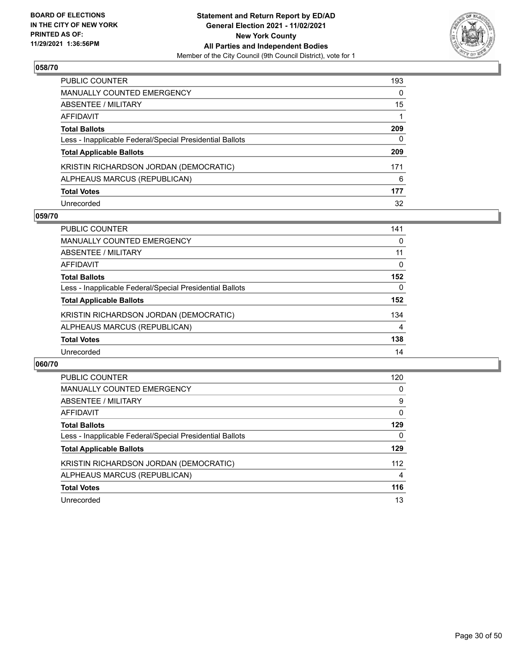

| PUBLIC COUNTER                                           | 193      |
|----------------------------------------------------------|----------|
| <b>MANUALLY COUNTED EMERGENCY</b>                        | $\Omega$ |
| ABSENTEE / MILITARY                                      | 15       |
| AFFIDAVIT                                                |          |
| <b>Total Ballots</b>                                     | 209      |
| Less - Inapplicable Federal/Special Presidential Ballots | 0        |
| <b>Total Applicable Ballots</b>                          | 209      |
| KRISTIN RICHARDSON JORDAN (DEMOCRATIC)                   | 171      |
| ALPHEAUS MARCUS (REPUBLICAN)                             | 6        |
| <b>Total Votes</b>                                       | 177      |
| Unrecorded                                               | 32       |

#### **059/70**

| <b>PUBLIC COUNTER</b>                                    | 141      |
|----------------------------------------------------------|----------|
| MANUALLY COUNTED EMERGENCY                               | 0        |
| ABSENTEE / MILITARY                                      | 11       |
| AFFIDAVIT                                                | $\Omega$ |
| <b>Total Ballots</b>                                     | 152      |
| Less - Inapplicable Federal/Special Presidential Ballots | $\Omega$ |
| <b>Total Applicable Ballots</b>                          | 152      |
| KRISTIN RICHARDSON JORDAN (DEMOCRATIC)                   | 134      |
| ALPHEAUS MARCUS (REPUBLICAN)                             | 4        |
| <b>Total Votes</b>                                       | 138      |
| Unrecorded                                               | 14       |

| <b>PUBLIC COUNTER</b>                                    | 120      |
|----------------------------------------------------------|----------|
| <b>MANUALLY COUNTED EMERGENCY</b>                        | 0        |
| ABSENTEE / MILITARY                                      | 9        |
| AFFIDAVIT                                                | $\Omega$ |
| <b>Total Ballots</b>                                     | 129      |
| Less - Inapplicable Federal/Special Presidential Ballots | 0        |
| <b>Total Applicable Ballots</b>                          | 129      |
| KRISTIN RICHARDSON JORDAN (DEMOCRATIC)                   | 112      |
| ALPHEAUS MARCUS (REPUBLICAN)                             | 4        |
| <b>Total Votes</b>                                       | 116      |
|                                                          |          |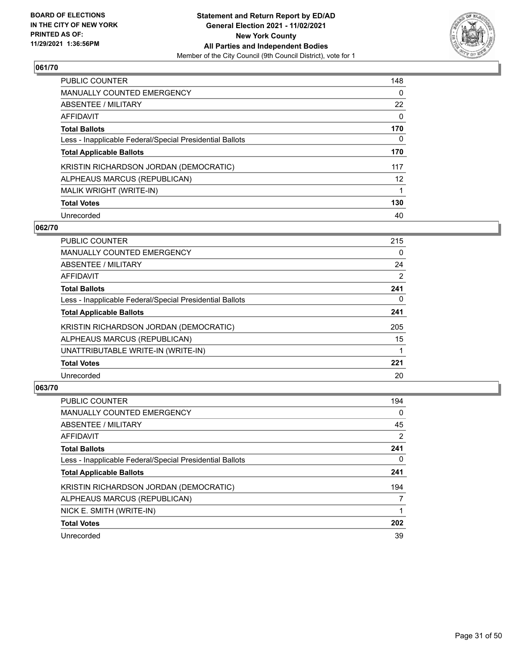

| <b>PUBLIC COUNTER</b>                                    | 148      |
|----------------------------------------------------------|----------|
| <b>MANUALLY COUNTED EMERGENCY</b>                        | $\Omega$ |
| ABSENTEE / MILITARY                                      | 22       |
| AFFIDAVIT                                                | 0        |
| <b>Total Ballots</b>                                     | 170      |
| Less - Inapplicable Federal/Special Presidential Ballots | 0        |
| <b>Total Applicable Ballots</b>                          | 170      |
| KRISTIN RICHARDSON JORDAN (DEMOCRATIC)                   | 117      |
| ALPHEAUS MARCUS (REPUBLICAN)                             | 12       |
| MALIK WRIGHT (WRITE-IN)                                  |          |
| <b>Total Votes</b>                                       | 130      |
| Unrecorded                                               | 40       |

#### **062/70**

| <b>PUBLIC COUNTER</b>                                    | 215      |
|----------------------------------------------------------|----------|
| <b>MANUALLY COUNTED EMERGENCY</b>                        | $\Omega$ |
| ABSENTEE / MILITARY                                      | 24       |
| <b>AFFIDAVIT</b>                                         | 2        |
| <b>Total Ballots</b>                                     | 241      |
| Less - Inapplicable Federal/Special Presidential Ballots | 0        |
| <b>Total Applicable Ballots</b>                          | 241      |
| KRISTIN RICHARDSON JORDAN (DEMOCRATIC)                   | 205      |
| ALPHEAUS MARCUS (REPUBLICAN)                             | 15       |
| UNATTRIBUTABLE WRITE-IN (WRITE-IN)                       |          |
| <b>Total Votes</b>                                       | 221      |
| Unrecorded                                               | 20       |

| <b>PUBLIC COUNTER</b>                                    | 194            |
|----------------------------------------------------------|----------------|
| <b>MANUALLY COUNTED EMERGENCY</b>                        | 0              |
| ABSENTEE / MILITARY                                      | 45             |
| <b>AFFIDAVIT</b>                                         | $\overline{2}$ |
| <b>Total Ballots</b>                                     | 241            |
| Less - Inapplicable Federal/Special Presidential Ballots | 0              |
| <b>Total Applicable Ballots</b>                          | 241            |
| KRISTIN RICHARDSON JORDAN (DEMOCRATIC)                   | 194            |
| ALPHEAUS MARCUS (REPUBLICAN)                             | 7              |
| NICK E. SMITH (WRITE-IN)                                 |                |
| <b>Total Votes</b>                                       | 202            |
| Unrecorded                                               | 39             |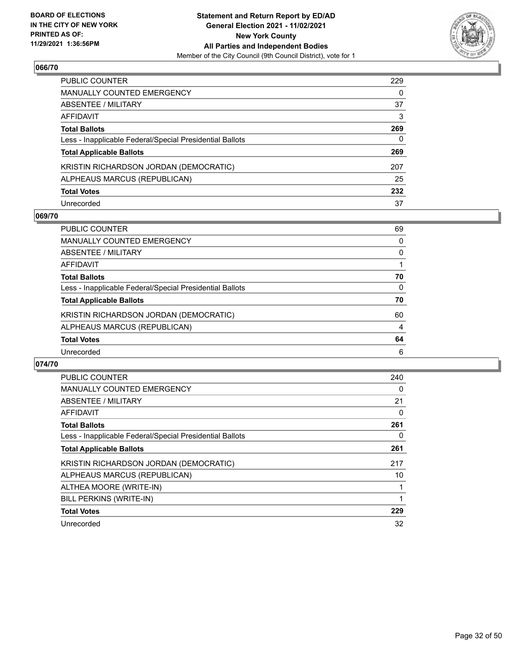

| PUBLIC COUNTER                                           | 229 |
|----------------------------------------------------------|-----|
| MANUALLY COUNTED EMERGENCY                               | 0   |
| <b>ABSENTEE / MILITARY</b>                               | 37  |
| AFFIDAVIT                                                | 3   |
| <b>Total Ballots</b>                                     | 269 |
| Less - Inapplicable Federal/Special Presidential Ballots | 0   |
| <b>Total Applicable Ballots</b>                          | 269 |
| KRISTIN RICHARDSON JORDAN (DEMOCRATIC)                   | 207 |
| ALPHEAUS MARCUS (REPUBLICAN)                             | 25  |
| <b>Total Votes</b>                                       | 232 |
| Unrecorded                                               | 37  |

## **069/70**

| PUBLIC COUNTER                                           | 69       |
|----------------------------------------------------------|----------|
| <b>MANUALLY COUNTED EMERGENCY</b>                        | 0        |
| ABSENTEE / MILITARY                                      | $\Omega$ |
| AFFIDAVIT                                                |          |
| <b>Total Ballots</b>                                     | 70       |
| Less - Inapplicable Federal/Special Presidential Ballots | $\Omega$ |
| <b>Total Applicable Ballots</b>                          | 70       |
| KRISTIN RICHARDSON JORDAN (DEMOCRATIC)                   | 60       |
| ALPHEAUS MARCUS (REPUBLICAN)                             | 4        |
| <b>Total Votes</b>                                       | 64       |
| Unrecorded                                               | 6        |

| <b>PUBLIC COUNTER</b>                                    | 240 |
|----------------------------------------------------------|-----|
| <b>MANUALLY COUNTED EMERGENCY</b>                        | 0   |
| ABSENTEE / MILITARY                                      | 21  |
| AFFIDAVIT                                                | 0   |
| <b>Total Ballots</b>                                     | 261 |
| Less - Inapplicable Federal/Special Presidential Ballots | 0   |
| <b>Total Applicable Ballots</b>                          | 261 |
| KRISTIN RICHARDSON JORDAN (DEMOCRATIC)                   | 217 |
| ALPHEAUS MARCUS (REPUBLICAN)                             | 10  |
| ALTHEA MOORE (WRITE-IN)                                  |     |
| BILL PERKINS (WRITE-IN)                                  | 1   |
| <b>Total Votes</b>                                       | 229 |
| Unrecorded                                               | 32  |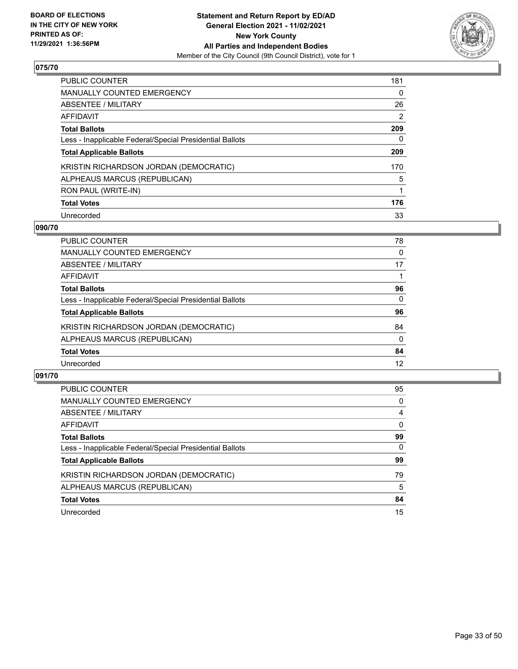

| <b>PUBLIC COUNTER</b>                                    | 181            |
|----------------------------------------------------------|----------------|
| <b>MANUALLY COUNTED EMERGENCY</b>                        | $\Omega$       |
| ABSENTEE / MILITARY                                      | 26             |
| AFFIDAVIT                                                | $\overline{2}$ |
| <b>Total Ballots</b>                                     | 209            |
| Less - Inapplicable Federal/Special Presidential Ballots | 0              |
| <b>Total Applicable Ballots</b>                          | 209            |
| KRISTIN RICHARDSON JORDAN (DEMOCRATIC)                   | 170            |
| ALPHEAUS MARCUS (REPUBLICAN)                             | 5              |
| RON PAUL (WRITE-IN)                                      | 1              |
| <b>Total Votes</b>                                       | 176            |
| Unrecorded                                               | 33             |

#### **090/70**

| PUBLIC COUNTER                                           | 78       |
|----------------------------------------------------------|----------|
| <b>MANUALLY COUNTED EMERGENCY</b>                        | 0        |
| ABSENTEE / MILITARY                                      | 17       |
| AFFIDAVIT                                                |          |
| <b>Total Ballots</b>                                     | 96       |
| Less - Inapplicable Federal/Special Presidential Ballots | $\Omega$ |
| <b>Total Applicable Ballots</b>                          | 96       |
| KRISTIN RICHARDSON JORDAN (DEMOCRATIC)                   | 84       |
| ALPHEAUS MARCUS (REPUBLICAN)                             | $\Omega$ |
| <b>Total Votes</b>                                       | 84       |
| Unrecorded                                               | 12       |

| <b>PUBLIC COUNTER</b>                                    | 95       |
|----------------------------------------------------------|----------|
| <b>MANUALLY COUNTED EMERGENCY</b>                        | $\Omega$ |
| ABSENTEE / MILITARY                                      | 4        |
| AFFIDAVIT                                                | $\Omega$ |
| <b>Total Ballots</b>                                     | 99       |
| Less - Inapplicable Federal/Special Presidential Ballots | $\Omega$ |
| <b>Total Applicable Ballots</b>                          | 99       |
| KRISTIN RICHARDSON JORDAN (DEMOCRATIC)                   | 79       |
| ALPHEAUS MARCUS (REPUBLICAN)                             | 5        |
| <b>Total Votes</b>                                       | 84       |
| Unrecorded                                               | 15       |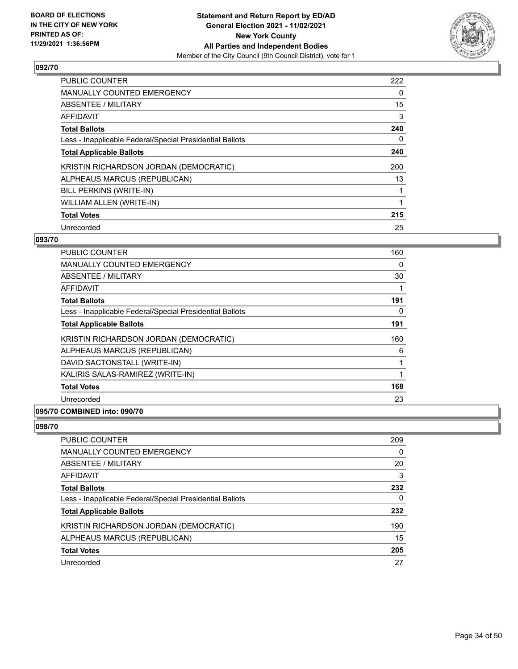

| <b>PUBLIC COUNTER</b>                                    | 222 |
|----------------------------------------------------------|-----|
| <b>MANUALLY COUNTED EMERGENCY</b>                        | 0   |
| ABSENTEE / MILITARY                                      | 15  |
| <b>AFFIDAVIT</b>                                         | 3   |
| <b>Total Ballots</b>                                     | 240 |
| Less - Inapplicable Federal/Special Presidential Ballots | 0   |
| <b>Total Applicable Ballots</b>                          | 240 |
| KRISTIN RICHARDSON JORDAN (DEMOCRATIC)                   | 200 |
| ALPHEAUS MARCUS (REPUBLICAN)                             | 13  |
| BILL PERKINS (WRITE-IN)                                  |     |
| WILLIAM ALLEN (WRITE-IN)                                 |     |
| <b>Total Votes</b>                                       | 215 |
| Unrecorded                                               | 25  |

# **093/70**

| <b>PUBLIC COUNTER</b>                                    | 160 |
|----------------------------------------------------------|-----|
| <b>MANUALLY COUNTED EMERGENCY</b>                        | 0   |
| ABSENTEE / MILITARY                                      | 30  |
| AFFIDAVIT                                                | 1   |
| <b>Total Ballots</b>                                     | 191 |
| Less - Inapplicable Federal/Special Presidential Ballots | 0   |
| <b>Total Applicable Ballots</b>                          | 191 |
| KRISTIN RICHARDSON JORDAN (DEMOCRATIC)                   | 160 |
| ALPHEAUS MARCUS (REPUBLICAN)                             | 6   |
| DAVID SACTONSTALL (WRITE-IN)                             | 1   |
| KALIRIS SALAS-RAMIREZ (WRITE-IN)                         | 1   |
| <b>Total Votes</b>                                       | 168 |
| Unrecorded                                               | 23  |
|                                                          |     |

# **095/70 COMBINED into: 090/70**

| PUBLIC COUNTER                                           | 209      |
|----------------------------------------------------------|----------|
| <b>MANUALLY COUNTED EMERGENCY</b>                        | $\Omega$ |
| ABSENTEE / MILITARY                                      | 20       |
| AFFIDAVIT                                                | 3        |
| <b>Total Ballots</b>                                     | 232      |
| Less - Inapplicable Federal/Special Presidential Ballots | 0        |
| <b>Total Applicable Ballots</b>                          | 232      |
| KRISTIN RICHARDSON JORDAN (DEMOCRATIC)                   | 190      |
| ALPHEAUS MARCUS (REPUBLICAN)                             | 15       |
| <b>Total Votes</b>                                       | 205      |
| Unrecorded                                               | 27       |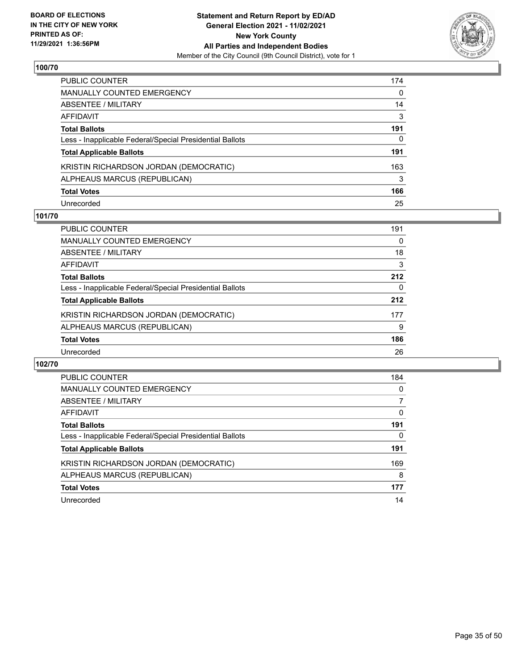

| PUBLIC COUNTER                                           | 174 |
|----------------------------------------------------------|-----|
| <b>MANUALLY COUNTED EMERGENCY</b>                        | 0   |
| <b>ABSENTEE / MILITARY</b>                               | 14  |
| AFFIDAVIT                                                | 3   |
| <b>Total Ballots</b>                                     | 191 |
| Less - Inapplicable Federal/Special Presidential Ballots | 0   |
| <b>Total Applicable Ballots</b>                          | 191 |
| KRISTIN RICHARDSON JORDAN (DEMOCRATIC)                   | 163 |
| ALPHEAUS MARCUS (REPUBLICAN)                             | 3   |
| <b>Total Votes</b>                                       | 166 |
| Unrecorded                                               | 25  |

# **101/70**

| <b>PUBLIC COUNTER</b>                                    | 191      |
|----------------------------------------------------------|----------|
| MANUALLY COUNTED EMERGENCY                               | 0        |
| ABSENTEE / MILITARY                                      | 18       |
| AFFIDAVIT                                                | 3        |
| <b>Total Ballots</b>                                     | 212      |
| Less - Inapplicable Federal/Special Presidential Ballots | $\Omega$ |
| <b>Total Applicable Ballots</b>                          | 212      |
| KRISTIN RICHARDSON JORDAN (DEMOCRATIC)                   | 177      |
| ALPHEAUS MARCUS (REPUBLICAN)                             | 9        |
| <b>Total Votes</b>                                       | 186      |
| Unrecorded                                               | 26       |

| PUBLIC COUNTER                                           | 184      |
|----------------------------------------------------------|----------|
| MANUALLY COUNTED EMERGENCY                               | $\Omega$ |
| <b>ABSENTEE / MILITARY</b>                               |          |
| AFFIDAVIT                                                | 0        |
| <b>Total Ballots</b>                                     | 191      |
| Less - Inapplicable Federal/Special Presidential Ballots | 0        |
| <b>Total Applicable Ballots</b>                          | 191      |
| KRISTIN RICHARDSON JORDAN (DEMOCRATIC)                   | 169      |
| ALPHEAUS MARCUS (REPUBLICAN)                             | 8        |
| <b>Total Votes</b>                                       | 177      |
| Unrecorded                                               | 14       |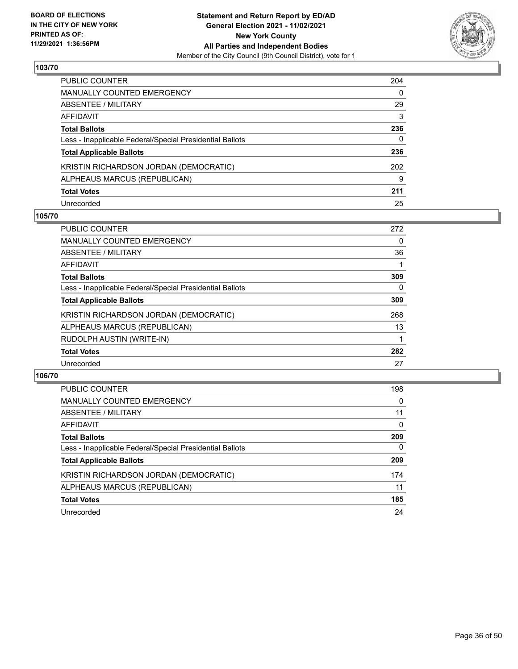

| PUBLIC COUNTER                                           | 204 |
|----------------------------------------------------------|-----|
| <b>MANUALLY COUNTED EMERGENCY</b>                        | 0   |
| ABSENTEE / MILITARY                                      | 29  |
| AFFIDAVIT                                                | 3   |
| <b>Total Ballots</b>                                     | 236 |
| Less - Inapplicable Federal/Special Presidential Ballots | 0   |
| <b>Total Applicable Ballots</b>                          | 236 |
| KRISTIN RICHARDSON JORDAN (DEMOCRATIC)                   | 202 |
| ALPHEAUS MARCUS (REPUBLICAN)                             | 9   |
| <b>Total Votes</b>                                       | 211 |
| Unrecorded                                               | 25  |

#### **105/70**

| <b>PUBLIC COUNTER</b>                                    | 272 |
|----------------------------------------------------------|-----|
| <b>MANUALLY COUNTED EMERGENCY</b>                        | 0   |
| ABSENTEE / MILITARY                                      | 36  |
| AFFIDAVIT                                                |     |
| <b>Total Ballots</b>                                     | 309 |
| Less - Inapplicable Federal/Special Presidential Ballots | 0   |
| <b>Total Applicable Ballots</b>                          | 309 |
| KRISTIN RICHARDSON JORDAN (DEMOCRATIC)                   | 268 |
| ALPHEAUS MARCUS (REPUBLICAN)                             | 13  |
| RUDOLPH AUSTIN (WRITE-IN)                                |     |
| <b>Total Votes</b>                                       | 282 |
| Unrecorded                                               | 27  |

| <b>PUBLIC COUNTER</b>                                    | 198      |
|----------------------------------------------------------|----------|
| MANUALLY COUNTED EMERGENCY                               | 0        |
| ABSENTEE / MILITARY                                      | 11       |
| AFFIDAVIT                                                | $\Omega$ |
| <b>Total Ballots</b>                                     | 209      |
| Less - Inapplicable Federal/Special Presidential Ballots | $\Omega$ |
| <b>Total Applicable Ballots</b>                          | 209      |
| KRISTIN RICHARDSON JORDAN (DEMOCRATIC)                   | 174      |
| ALPHEAUS MARCUS (REPUBLICAN)                             | 11       |
| <b>Total Votes</b>                                       | 185      |
| Unrecorded                                               | 24       |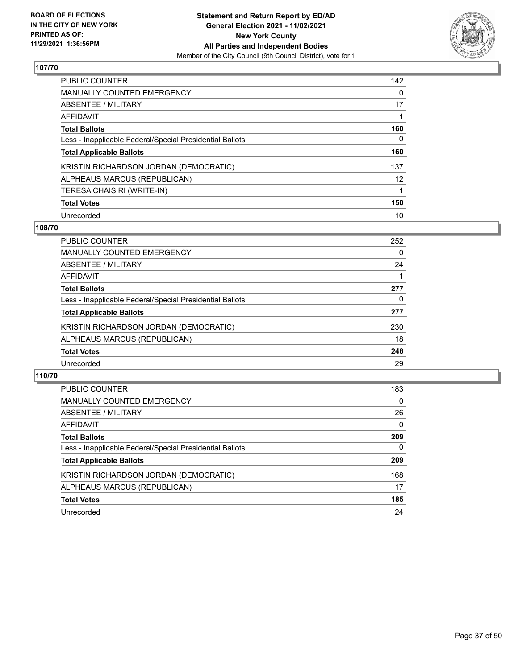

| <b>PUBLIC COUNTER</b>                                    | 142      |
|----------------------------------------------------------|----------|
| MANUALLY COUNTED EMERGENCY                               | $\Omega$ |
| ABSENTEE / MILITARY                                      | 17       |
| AFFIDAVIT                                                |          |
| <b>Total Ballots</b>                                     | 160      |
| Less - Inapplicable Federal/Special Presidential Ballots | 0        |
| <b>Total Applicable Ballots</b>                          | 160      |
| KRISTIN RICHARDSON JORDAN (DEMOCRATIC)                   | 137      |
| ALPHEAUS MARCUS (REPUBLICAN)                             | 12       |
| TERESA CHAISIRI (WRITE-IN)                               | 1        |
| <b>Total Votes</b>                                       | 150      |
| Unrecorded                                               | 10       |

#### **108/70**

| <b>PUBLIC COUNTER</b>                                    | 252      |
|----------------------------------------------------------|----------|
| MANUALLY COUNTED EMERGENCY                               | $\Omega$ |
| ABSENTEE / MILITARY                                      | 24       |
| AFFIDAVIT                                                |          |
| <b>Total Ballots</b>                                     | 277      |
| Less - Inapplicable Federal/Special Presidential Ballots | 0        |
| <b>Total Applicable Ballots</b>                          | 277      |
| KRISTIN RICHARDSON JORDAN (DEMOCRATIC)                   | 230      |
| ALPHEAUS MARCUS (REPUBLICAN)                             | 18       |
| <b>Total Votes</b>                                       | 248      |
| Unrecorded                                               | 29       |

| <b>PUBLIC COUNTER</b>                                    | 183      |
|----------------------------------------------------------|----------|
| MANUALLY COUNTED EMERGENCY                               | $\Omega$ |
| ABSENTEE / MILITARY                                      | 26       |
| AFFIDAVIT                                                | $\Omega$ |
| <b>Total Ballots</b>                                     | 209      |
| Less - Inapplicable Federal/Special Presidential Ballots | $\Omega$ |
| <b>Total Applicable Ballots</b>                          | 209      |
| KRISTIN RICHARDSON JORDAN (DEMOCRATIC)                   | 168      |
| ALPHEAUS MARCUS (REPUBLICAN)                             | 17       |
| <b>Total Votes</b>                                       | 185      |
| Unrecorded                                               | 24       |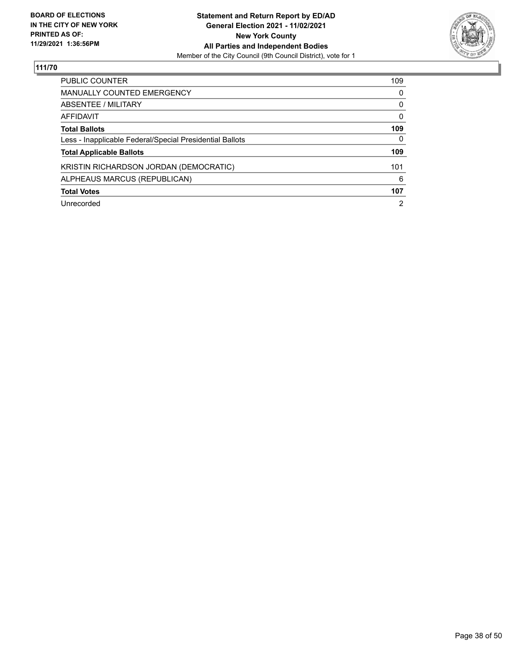

| PUBLIC COUNTER                                           | 109            |
|----------------------------------------------------------|----------------|
| <b>MANUALLY COUNTED EMERGENCY</b>                        | 0              |
| ABSENTEE / MILITARY                                      | 0              |
| AFFIDAVIT                                                | $\Omega$       |
| <b>Total Ballots</b>                                     | 109            |
| Less - Inapplicable Federal/Special Presidential Ballots | 0              |
| <b>Total Applicable Ballots</b>                          | 109            |
| KRISTIN RICHARDSON JORDAN (DEMOCRATIC)                   | 101            |
| ALPHEAUS MARCUS (REPUBLICAN)                             | 6              |
| <b>Total Votes</b>                                       | 107            |
| Unrecorded                                               | $\overline{2}$ |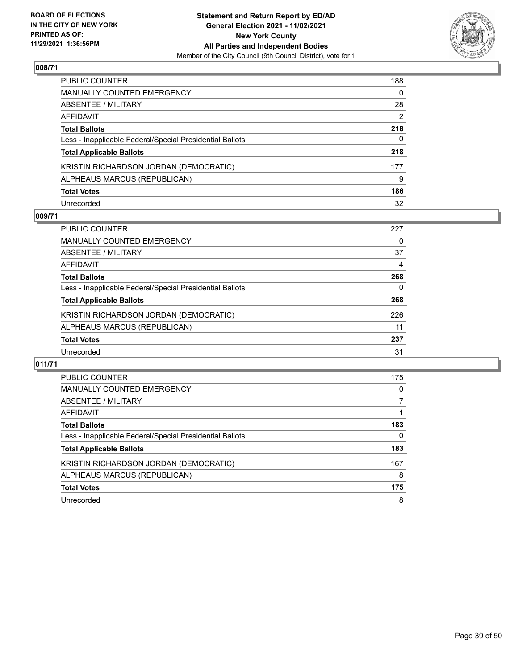

| PUBLIC COUNTER                                           | 188      |
|----------------------------------------------------------|----------|
| <b>MANUALLY COUNTED EMERGENCY</b>                        | $\Omega$ |
| ABSENTEE / MILITARY                                      | 28       |
| AFFIDAVIT                                                | 2        |
| <b>Total Ballots</b>                                     | 218      |
| Less - Inapplicable Federal/Special Presidential Ballots | 0        |
| <b>Total Applicable Ballots</b>                          | 218      |
| KRISTIN RICHARDSON JORDAN (DEMOCRATIC)                   | 177      |
| ALPHEAUS MARCUS (REPUBLICAN)                             | 9        |
| <b>Total Votes</b>                                       | 186      |
| Unrecorded                                               | 32       |

## **009/71**

| <b>PUBLIC COUNTER</b>                                    | 227 |
|----------------------------------------------------------|-----|
| MANUALLY COUNTED EMERGENCY                               | 0   |
| ABSENTEE / MILITARY                                      | 37  |
| AFFIDAVIT                                                | 4   |
| <b>Total Ballots</b>                                     | 268 |
| Less - Inapplicable Federal/Special Presidential Ballots | 0   |
| <b>Total Applicable Ballots</b>                          | 268 |
| KRISTIN RICHARDSON JORDAN (DEMOCRATIC)                   | 226 |
| ALPHEAUS MARCUS (REPUBLICAN)                             | 11  |
| <b>Total Votes</b>                                       | 237 |
| Unrecorded                                               | 31  |

| PUBLIC COUNTER                                           | 175 |
|----------------------------------------------------------|-----|
| <b>MANUALLY COUNTED EMERGENCY</b>                        | 0   |
| ABSENTEE / MILITARY                                      |     |
| AFFIDAVIT                                                |     |
| <b>Total Ballots</b>                                     | 183 |
| Less - Inapplicable Federal/Special Presidential Ballots | 0   |
| <b>Total Applicable Ballots</b>                          | 183 |
| KRISTIN RICHARDSON JORDAN (DEMOCRATIC)                   | 167 |
| ALPHEAUS MARCUS (REPUBLICAN)                             | 8   |
| <b>Total Votes</b>                                       | 175 |
| Unrecorded                                               | 8   |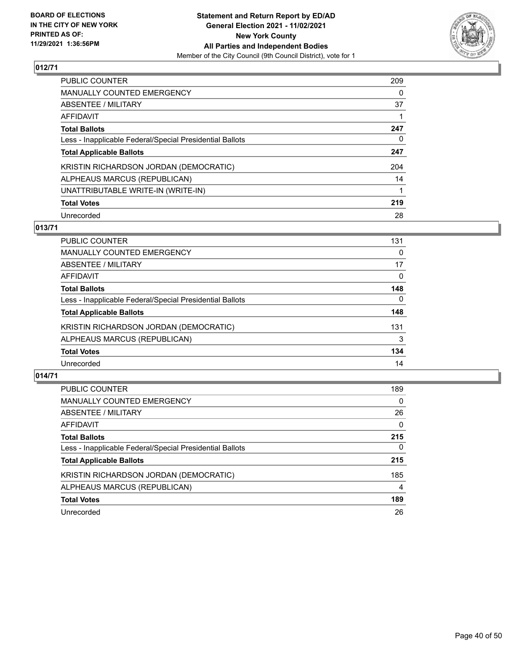

| PUBLIC COUNTER                                           | 209 |
|----------------------------------------------------------|-----|
| <b>MANUALLY COUNTED EMERGENCY</b>                        | 0   |
| ABSENTEE / MILITARY                                      | 37  |
| AFFIDAVIT                                                |     |
| <b>Total Ballots</b>                                     | 247 |
| Less - Inapplicable Federal/Special Presidential Ballots | 0   |
| <b>Total Applicable Ballots</b>                          | 247 |
| KRISTIN RICHARDSON JORDAN (DEMOCRATIC)                   | 204 |
| ALPHEAUS MARCUS (REPUBLICAN)                             | 14  |
| UNATTRIBUTABLE WRITE-IN (WRITE-IN)                       | 1   |
| <b>Total Votes</b>                                       | 219 |
| Unrecorded                                               | 28  |

# **013/71**

| <b>PUBLIC COUNTER</b>                                    | 131      |
|----------------------------------------------------------|----------|
| <b>MANUALLY COUNTED EMERGENCY</b>                        | 0        |
| ABSENTEE / MILITARY                                      | 17       |
| AFFIDAVIT                                                | $\Omega$ |
| <b>Total Ballots</b>                                     | 148      |
| Less - Inapplicable Federal/Special Presidential Ballots | $\Omega$ |
| <b>Total Applicable Ballots</b>                          | 148      |
| KRISTIN RICHARDSON JORDAN (DEMOCRATIC)                   | 131      |
| ALPHEAUS MARCUS (REPUBLICAN)                             | 3        |
| <b>Total Votes</b>                                       | 134      |
| Unrecorded                                               | 14       |

| <b>PUBLIC COUNTER</b>                                    | 189          |
|----------------------------------------------------------|--------------|
| <b>MANUALLY COUNTED EMERGENCY</b>                        | $\Omega$     |
| ABSENTEE / MILITARY                                      | 26           |
| AFFIDAVIT                                                | $\Omega$     |
| <b>Total Ballots</b>                                     | 215          |
| Less - Inapplicable Federal/Special Presidential Ballots | $\mathbf{0}$ |
| <b>Total Applicable Ballots</b>                          | 215          |
| KRISTIN RICHARDSON JORDAN (DEMOCRATIC)                   | 185          |
| ALPHEAUS MARCUS (REPUBLICAN)                             | 4            |
| <b>Total Votes</b>                                       | 189          |
| Unrecorded                                               | 26           |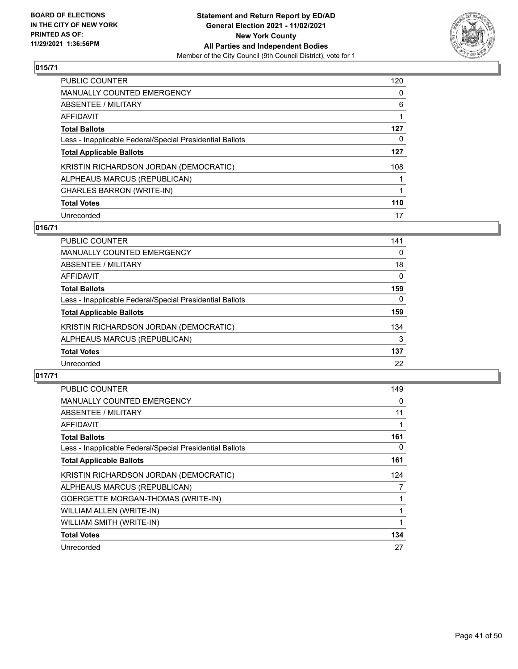

| PUBLIC COUNTER                                           | 120 |
|----------------------------------------------------------|-----|
| <b>MANUALLY COUNTED EMERGENCY</b>                        | 0   |
| ABSENTEE / MILITARY                                      | 6   |
| AFFIDAVIT                                                |     |
| <b>Total Ballots</b>                                     | 127 |
| Less - Inapplicable Federal/Special Presidential Ballots | 0   |
| <b>Total Applicable Ballots</b>                          | 127 |
| KRISTIN RICHARDSON JORDAN (DEMOCRATIC)                   | 108 |
| ALPHEAUS MARCUS (REPUBLICAN)                             |     |
| CHARLES BARRON (WRITE-IN)                                |     |
| <b>Total Votes</b>                                       | 110 |
| Unrecorded                                               | 17  |

# **016/71**

| <b>PUBLIC COUNTER</b>                                    | 141      |
|----------------------------------------------------------|----------|
| MANUALLY COUNTED EMERGENCY                               | $\Omega$ |
| ABSENTEE / MILITARY                                      | 18       |
| AFFIDAVIT                                                | 0        |
| <b>Total Ballots</b>                                     | 159      |
| Less - Inapplicable Federal/Special Presidential Ballots | 0        |
| <b>Total Applicable Ballots</b>                          | 159      |
| KRISTIN RICHARDSON JORDAN (DEMOCRATIC)                   | 134      |
| ALPHEAUS MARCUS (REPUBLICAN)                             | 3        |
| <b>Total Votes</b>                                       | 137      |
| Unrecorded                                               | 22       |

| <b>PUBLIC COUNTER</b>                                    | 149 |
|----------------------------------------------------------|-----|
| MANUALLY COUNTED EMERGENCY                               | 0   |
| ABSENTEE / MILITARY                                      | 11  |
| AFFIDAVIT                                                |     |
| <b>Total Ballots</b>                                     | 161 |
| Less - Inapplicable Federal/Special Presidential Ballots | 0   |
| <b>Total Applicable Ballots</b>                          | 161 |
| KRISTIN RICHARDSON JORDAN (DEMOCRATIC)                   | 124 |
| ALPHEAUS MARCUS (REPUBLICAN)                             | 7   |
| GOERGETTE MORGAN-THOMAS (WRITE-IN)                       |     |
| WILLIAM ALLEN (WRITE-IN)                                 |     |
| WILLIAM SMITH (WRITE-IN)                                 |     |
| <b>Total Votes</b>                                       | 134 |
| Unrecorded                                               | 27  |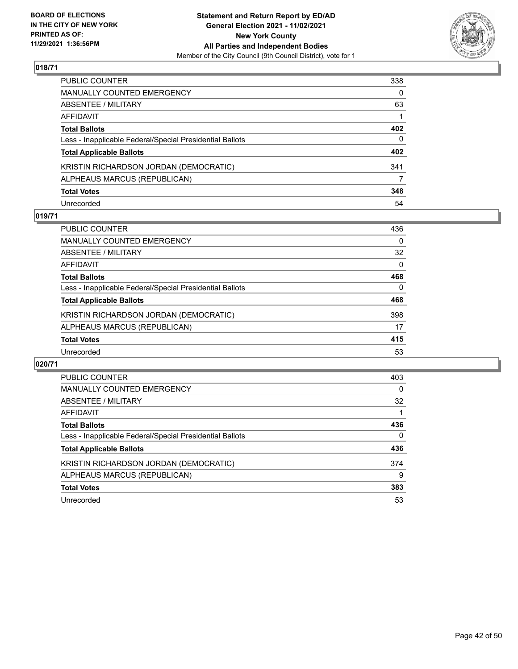

| PUBLIC COUNTER                                           | 338      |
|----------------------------------------------------------|----------|
| MANUALLY COUNTED EMERGENCY                               | $\Omega$ |
| ABSENTEE / MILITARY                                      | 63       |
| AFFIDAVIT                                                |          |
| Total Ballots                                            | 402      |
| Less - Inapplicable Federal/Special Presidential Ballots | $\Omega$ |
| <b>Total Applicable Ballots</b>                          | 402      |
| KRISTIN RICHARDSON JORDAN (DEMOCRATIC)                   | 341      |
| ALPHEAUS MARCUS (REPUBLICAN)                             | 7        |
| <b>Total Votes</b>                                       | 348      |
| Unrecorded                                               | 54       |

## **019/71**

| <b>PUBLIC COUNTER</b>                                    | 436      |
|----------------------------------------------------------|----------|
| MANUALLY COUNTED EMERGENCY                               | 0        |
| ABSENTEE / MILITARY                                      | 32       |
| AFFIDAVIT                                                | $\Omega$ |
| <b>Total Ballots</b>                                     | 468      |
| Less - Inapplicable Federal/Special Presidential Ballots | $\Omega$ |
| <b>Total Applicable Ballots</b>                          | 468      |
| KRISTIN RICHARDSON JORDAN (DEMOCRATIC)                   | 398      |
| ALPHEAUS MARCUS (REPUBLICAN)                             | 17       |
| <b>Total Votes</b>                                       | 415      |
| Unrecorded                                               | 53       |

| PUBLIC COUNTER                                           | 403      |
|----------------------------------------------------------|----------|
| <b>MANUALLY COUNTED EMERGENCY</b>                        | $\Omega$ |
| ABSENTEE / MILITARY                                      | 32       |
| <b>AFFIDAVIT</b>                                         |          |
| <b>Total Ballots</b>                                     | 436      |
| Less - Inapplicable Federal/Special Presidential Ballots | 0        |
| <b>Total Applicable Ballots</b>                          | 436      |
| KRISTIN RICHARDSON JORDAN (DEMOCRATIC)                   | 374      |
| ALPHEAUS MARCUS (REPUBLICAN)                             | 9        |
| <b>Total Votes</b>                                       | 383      |
| Unrecorded                                               | 53       |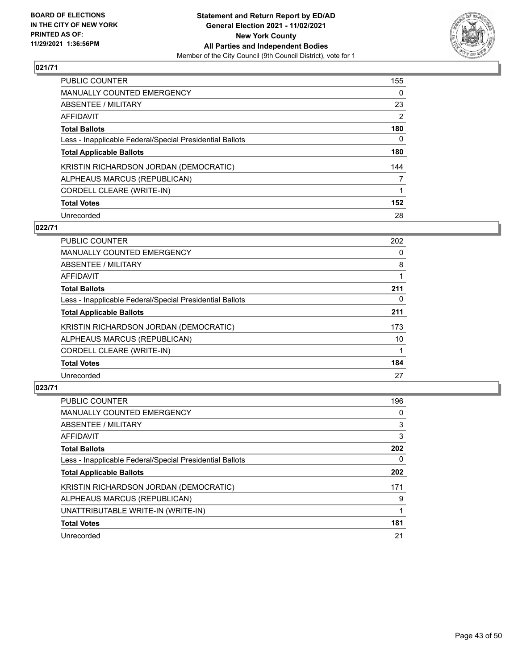

| <b>PUBLIC COUNTER</b>                                    | 155      |
|----------------------------------------------------------|----------|
| MANUALLY COUNTED EMERGENCY                               | 0        |
| ABSENTEE / MILITARY                                      | 23       |
| <b>AFFIDAVIT</b>                                         | 2        |
| <b>Total Ballots</b>                                     | 180      |
| Less - Inapplicable Federal/Special Presidential Ballots | $\Omega$ |
| <b>Total Applicable Ballots</b>                          | 180      |
| KRISTIN RICHARDSON JORDAN (DEMOCRATIC)                   | 144      |
| ALPHEAUS MARCUS (REPUBLICAN)                             | 7        |
| CORDELL CLEARE (WRITE-IN)                                |          |
| <b>Total Votes</b>                                       | 152      |
| Unrecorded                                               | 28       |

#### **022/71**

| <b>PUBLIC COUNTER</b>                                    | 202 |
|----------------------------------------------------------|-----|
| <b>MANUALLY COUNTED EMERGENCY</b>                        | 0   |
| ABSENTEE / MILITARY                                      | 8   |
| <b>AFFIDAVIT</b>                                         |     |
| <b>Total Ballots</b>                                     | 211 |
| Less - Inapplicable Federal/Special Presidential Ballots | 0   |
| <b>Total Applicable Ballots</b>                          | 211 |
| KRISTIN RICHARDSON JORDAN (DEMOCRATIC)                   | 173 |
| ALPHEAUS MARCUS (REPUBLICAN)                             | 10  |
| CORDELL CLEARE (WRITE-IN)                                |     |
| <b>Total Votes</b>                                       | 184 |
| Unrecorded                                               | 27  |

| <b>PUBLIC COUNTER</b>                                    | 196 |
|----------------------------------------------------------|-----|
| MANUALLY COUNTED EMERGENCY                               | 0   |
| ABSENTEE / MILITARY                                      | 3   |
| AFFIDAVIT                                                | 3   |
| <b>Total Ballots</b>                                     | 202 |
| Less - Inapplicable Federal/Special Presidential Ballots | 0   |
| <b>Total Applicable Ballots</b>                          | 202 |
| KRISTIN RICHARDSON JORDAN (DEMOCRATIC)                   | 171 |
| ALPHEAUS MARCUS (REPUBLICAN)                             | 9   |
| UNATTRIBUTABLE WRITE-IN (WRITE-IN)                       |     |
| <b>Total Votes</b>                                       | 181 |
| Unrecorded                                               | 21  |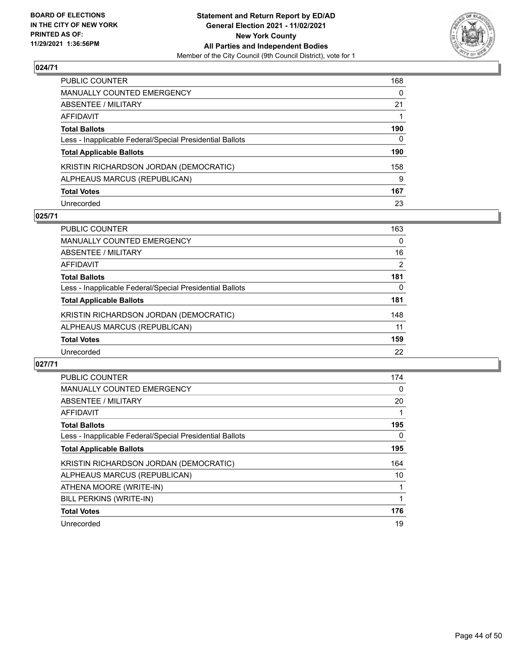

| PUBLIC COUNTER                                           | 168      |
|----------------------------------------------------------|----------|
| MANUALLY COUNTED EMERGENCY                               | $\Omega$ |
| ABSENTEE / MILITARY                                      | 21       |
| AFFIDAVIT                                                |          |
| <b>Total Ballots</b>                                     | 190      |
| Less - Inapplicable Federal/Special Presidential Ballots | 0        |
| <b>Total Applicable Ballots</b>                          | 190      |
| KRISTIN RICHARDSON JORDAN (DEMOCRATIC)                   | 158      |
| ALPHEAUS MARCUS (REPUBLICAN)                             | 9        |
| <b>Total Votes</b>                                       | 167      |
| Unrecorded                                               | 23       |

## **025/71**

| <b>PUBLIC COUNTER</b>                                    | 163      |
|----------------------------------------------------------|----------|
| MANUALLY COUNTED EMERGENCY                               | 0        |
| ABSENTEE / MILITARY                                      | 16       |
| AFFIDAVIT                                                | 2        |
| <b>Total Ballots</b>                                     | 181      |
| Less - Inapplicable Federal/Special Presidential Ballots | $\Omega$ |
| <b>Total Applicable Ballots</b>                          | 181      |
| KRISTIN RICHARDSON JORDAN (DEMOCRATIC)                   | 148      |
| ALPHEAUS MARCUS (REPUBLICAN)                             | 11       |
| <b>Total Votes</b>                                       | 159      |
| Unrecorded                                               | 22       |

| <b>PUBLIC COUNTER</b>                                    | 174      |
|----------------------------------------------------------|----------|
| <b>MANUALLY COUNTED EMERGENCY</b>                        | 0        |
| ABSENTEE / MILITARY                                      | 20       |
| AFFIDAVIT                                                |          |
| <b>Total Ballots</b>                                     | 195      |
| Less - Inapplicable Federal/Special Presidential Ballots | $\Omega$ |
| <b>Total Applicable Ballots</b>                          | 195      |
| KRISTIN RICHARDSON JORDAN (DEMOCRATIC)                   | 164      |
| ALPHEAUS MARCUS (REPUBLICAN)                             | 10       |
| ATHENA MOORE (WRITE-IN)                                  |          |
| BILL PERKINS (WRITE-IN)                                  |          |
| <b>Total Votes</b>                                       | 176      |
| Unrecorded                                               | 19       |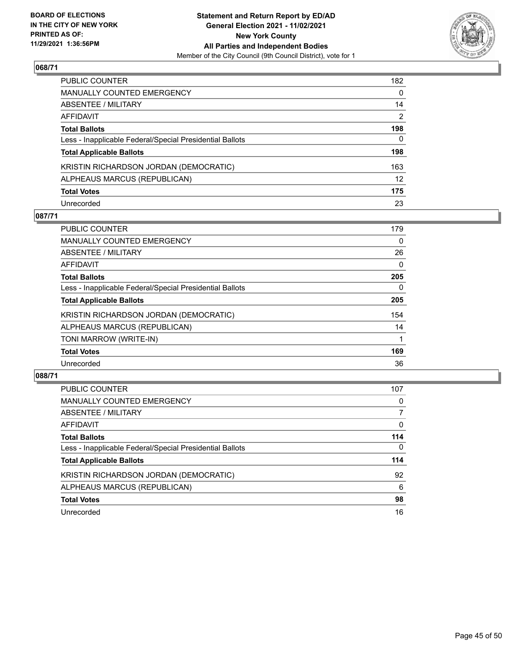

| PUBLIC COUNTER                                           | 182               |
|----------------------------------------------------------|-------------------|
| MANUALLY COUNTED EMERGENCY                               | 0                 |
| ABSENTEE / MILITARY                                      | 14                |
| AFFIDAVIT                                                | 2                 |
| <b>Total Ballots</b>                                     | 198               |
| Less - Inapplicable Federal/Special Presidential Ballots | 0                 |
| <b>Total Applicable Ballots</b>                          | 198               |
| KRISTIN RICHARDSON JORDAN (DEMOCRATIC)                   | 163               |
| ALPHEAUS MARCUS (REPUBLICAN)                             | $12 \overline{ }$ |
| <b>Total Votes</b>                                       | 175               |
| Unrecorded                                               | 23                |

# **087/71**

| <b>PUBLIC COUNTER</b>                                    | 179      |
|----------------------------------------------------------|----------|
| <b>MANUALLY COUNTED EMERGENCY</b>                        | 0        |
| ABSENTEE / MILITARY                                      | 26       |
| AFFIDAVIT                                                | $\Omega$ |
| <b>Total Ballots</b>                                     | 205      |
| Less - Inapplicable Federal/Special Presidential Ballots | 0        |
| <b>Total Applicable Ballots</b>                          | 205      |
| KRISTIN RICHARDSON JORDAN (DEMOCRATIC)                   | 154      |
| ALPHEAUS MARCUS (REPUBLICAN)                             | 14       |
| TONI MARROW (WRITE-IN)                                   |          |
| <b>Total Votes</b>                                       | 169      |
| Unrecorded                                               | 36       |

| PUBLIC COUNTER                                           | 107      |
|----------------------------------------------------------|----------|
| MANUALLY COUNTED EMERGENCY                               | 0        |
| ABSENTEE / MILITARY                                      | 7        |
| AFFIDAVIT                                                | $\Omega$ |
| <b>Total Ballots</b>                                     | 114      |
| Less - Inapplicable Federal/Special Presidential Ballots | 0        |
| <b>Total Applicable Ballots</b>                          | 114      |
| KRISTIN RICHARDSON JORDAN (DEMOCRATIC)                   | 92       |
| ALPHEAUS MARCUS (REPUBLICAN)                             | 6        |
| <b>Total Votes</b>                                       | 98       |
| Unrecorded                                               | 16       |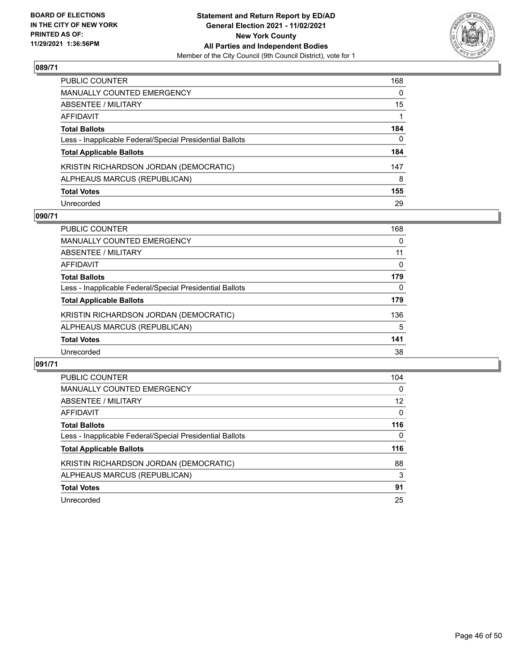

| PUBLIC COUNTER                                           | 168      |
|----------------------------------------------------------|----------|
| <b>MANUALLY COUNTED EMERGENCY</b>                        | $\Omega$ |
| ABSENTEE / MILITARY                                      | 15       |
| AFFIDAVIT                                                |          |
| <b>Total Ballots</b>                                     | 184      |
| Less - Inapplicable Federal/Special Presidential Ballots | 0        |
| <b>Total Applicable Ballots</b>                          | 184      |
| KRISTIN RICHARDSON JORDAN (DEMOCRATIC)                   | 147      |
| ALPHEAUS MARCUS (REPUBLICAN)                             | 8        |
| <b>Total Votes</b>                                       | 155      |
| Unrecorded                                               | 29       |

#### **090/71**

| PUBLIC COUNTER                                           | 168      |
|----------------------------------------------------------|----------|
| MANUALLY COUNTED EMERGENCY                               | 0        |
| ABSENTEE / MILITARY                                      | 11       |
| AFFIDAVIT                                                | 0        |
| <b>Total Ballots</b>                                     | 179      |
| Less - Inapplicable Federal/Special Presidential Ballots | $\Omega$ |
| <b>Total Applicable Ballots</b>                          | 179      |
| KRISTIN RICHARDSON JORDAN (DEMOCRATIC)                   | 136      |
| ALPHEAUS MARCUS (REPUBLICAN)                             | 5        |
| <b>Total Votes</b>                                       | 141      |
| Unrecorded                                               | 38       |

| PUBLIC COUNTER                                           | 104      |
|----------------------------------------------------------|----------|
| <b>MANUALLY COUNTED EMERGENCY</b>                        | $\Omega$ |
| ABSENTEE / MILITARY                                      | 12       |
| <b>AFFIDAVIT</b>                                         | $\Omega$ |
| <b>Total Ballots</b>                                     | 116      |
| Less - Inapplicable Federal/Special Presidential Ballots | 0        |
| <b>Total Applicable Ballots</b>                          | 116      |
| KRISTIN RICHARDSON JORDAN (DEMOCRATIC)                   | 88       |
| ALPHEAUS MARCUS (REPUBLICAN)                             | 3        |
| <b>Total Votes</b>                                       | 91       |
| Unrecorded                                               | 25       |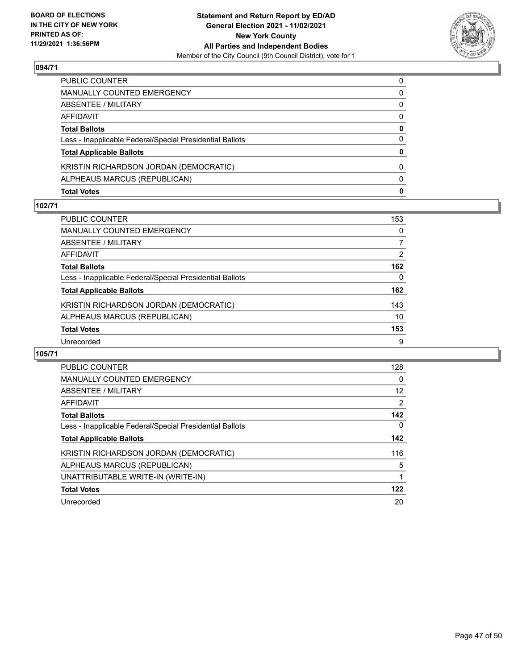

| <b>Total Votes</b>                                       | 0            |
|----------------------------------------------------------|--------------|
| ALPHEAUS MARCUS (REPUBLICAN)                             | $\Omega$     |
| KRISTIN RICHARDSON JORDAN (DEMOCRATIC)                   | $\Omega$     |
| <b>Total Applicable Ballots</b>                          | $\mathbf{0}$ |
| Less - Inapplicable Federal/Special Presidential Ballots | 0            |
| <b>Total Ballots</b>                                     | 0            |
| AFFIDAVIT                                                | $\Omega$     |
| ABSENTEE / MILITARY                                      | 0            |
| MANUALLY COUNTED EMERGENCY                               | 0            |
| PUBLIC COUNTER                                           | $\Omega$     |

#### **102/71**

| <b>PUBLIC COUNTER</b>                                    | 153 |
|----------------------------------------------------------|-----|
| <b>MANUALLY COUNTED EMERGENCY</b>                        | 0   |
| ABSENTEE / MILITARY                                      |     |
| AFFIDAVIT                                                | 2   |
| <b>Total Ballots</b>                                     | 162 |
| Less - Inapplicable Federal/Special Presidential Ballots | 0   |
| <b>Total Applicable Ballots</b>                          | 162 |
| KRISTIN RICHARDSON JORDAN (DEMOCRATIC)                   | 143 |
| ALPHEAUS MARCUS (REPUBLICAN)                             | 10  |
| <b>Total Votes</b>                                       | 153 |
| Unrecorded                                               | 9   |
|                                                          |     |

| PUBLIC COUNTER                                           | 128      |
|----------------------------------------------------------|----------|
| <b>MANUALLY COUNTED EMERGENCY</b>                        | $\Omega$ |
| ABSENTEE / MILITARY                                      | 12       |
| AFFIDAVIT                                                | 2        |
| <b>Total Ballots</b>                                     | 142      |
| Less - Inapplicable Federal/Special Presidential Ballots | 0        |
| <b>Total Applicable Ballots</b>                          | 142      |
| KRISTIN RICHARDSON JORDAN (DEMOCRATIC)                   | 116      |
| ALPHEAUS MARCUS (REPUBLICAN)                             | 5        |
| UNATTRIBUTABLE WRITE-IN (WRITE-IN)                       |          |
| <b>Total Votes</b>                                       | 122      |
| Unrecorded                                               | 20       |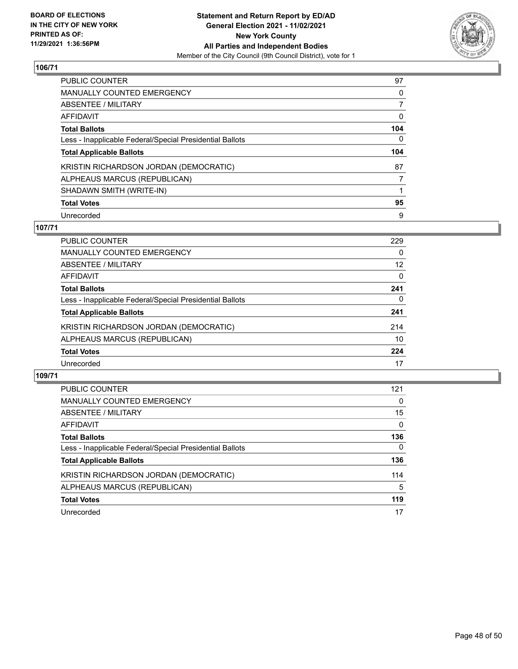

| PUBLIC COUNTER                                           | 97       |
|----------------------------------------------------------|----------|
| <b>MANUALLY COUNTED EMERGENCY</b>                        | 0        |
| ABSENTEE / MILITARY                                      |          |
| AFFIDAVIT                                                | 0        |
| <b>Total Ballots</b>                                     | 104      |
| Less - Inapplicable Federal/Special Presidential Ballots | $\Omega$ |
| <b>Total Applicable Ballots</b>                          | 104      |
| KRISTIN RICHARDSON JORDAN (DEMOCRATIC)                   | 87       |
| ALPHEAUS MARCUS (REPUBLICAN)                             |          |
| SHADAWN SMITH (WRITE-IN)                                 |          |
| <b>Total Votes</b>                                       | 95       |
|                                                          |          |

#### **107/71**

| PUBLIC COUNTER                                           | 229      |
|----------------------------------------------------------|----------|
| <b>MANUALLY COUNTED EMERGENCY</b>                        | $\Omega$ |
| ABSENTEE / MILITARY                                      | 12       |
| AFFIDAVIT                                                | $\Omega$ |
| <b>Total Ballots</b>                                     | 241      |
| Less - Inapplicable Federal/Special Presidential Ballots | $\Omega$ |
| <b>Total Applicable Ballots</b>                          | 241      |
| KRISTIN RICHARDSON JORDAN (DEMOCRATIC)                   | 214      |
| ALPHEAUS MARCUS (REPUBLICAN)                             | 10       |
| <b>Total Votes</b>                                       | 224      |
| Unrecorded                                               | 17       |

| PUBLIC COUNTER                                           | 121          |
|----------------------------------------------------------|--------------|
| <b>MANUALLY COUNTED EMERGENCY</b>                        | $\Omega$     |
| ABSENTEE / MILITARY                                      | 15           |
| AFFIDAVIT                                                | $\Omega$     |
| <b>Total Ballots</b>                                     | 136          |
| Less - Inapplicable Federal/Special Presidential Ballots | $\mathbf{0}$ |
| <b>Total Applicable Ballots</b>                          | 136          |
| KRISTIN RICHARDSON JORDAN (DEMOCRATIC)                   | 114          |
| ALPHEAUS MARCUS (REPUBLICAN)                             | 5            |
| <b>Total Votes</b>                                       | 119          |
| Unrecorded                                               | 17           |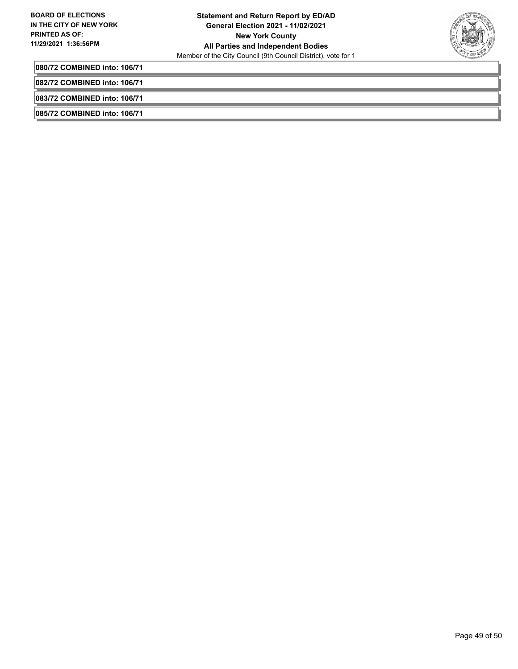

**080/72 COMBINED into: 106/71**

**082/72 COMBINED into: 106/71**

**083/72 COMBINED into: 106/71**

**085/72 COMBINED into: 106/71**